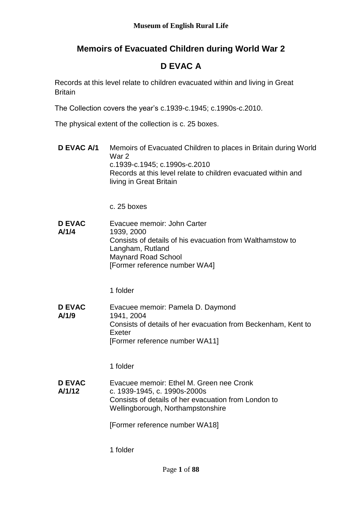# **Memoirs of Evacuated Children during World War 2**

# **D EVAC A**

Records at this level relate to children evacuated within and living in Great **Britain** 

The Collection covers the year's c.1939-c.1945; c.1990s-c.2010.

The physical extent of the collection is c. 25 boxes.

**D EVAC A/1** Memoirs of Evacuated Children to places in Britain during World War 2 c.1939-c.1945; c.1990s-c.2010 Records at this level relate to children evacuated within and living in Great Britain

c. 25 boxes

**D EVAC A/1/4** Evacuee memoir: John Carter 1939, 2000 Consists of details of his evacuation from Walthamstow to Langham, Rutland Maynard Road School [Former reference number WA4]

1 folder

**D EVAC A/1/9** Evacuee memoir: Pamela D. Daymond 1941, 2004 Consists of details of her evacuation from Beckenham, Kent to Exeter [Former reference number WA11]

1 folder

**D EVAC A/1/12** Evacuee memoir: Ethel M. Green nee Cronk c. 1939-1945, c. 1990s-2000s Consists of details of her evacuation from London to Wellingborough, Northampstonshire

[Former reference number WA18]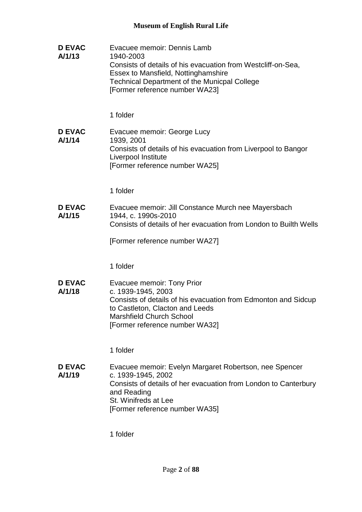| <b>D EVAC</b><br>A/1/13 | Evacuee memoir: Dennis Lamb<br>1940-2003<br>Consists of details of his evacuation from Westcliff-on-Sea,<br>Essex to Mansfield, Nottinghamshire<br><b>Technical Department of the Municpal College</b><br>[Former reference number WA23] |
|-------------------------|------------------------------------------------------------------------------------------------------------------------------------------------------------------------------------------------------------------------------------------|
|                         | 1 folder                                                                                                                                                                                                                                 |
| <b>D EVAC</b><br>A/1/14 | Evacuee memoir: George Lucy<br>1939, 2001<br>Consists of details of his evacuation from Liverpool to Bangor<br>Liverpool Institute<br>[Former reference number WA25]                                                                     |
|                         | 1 folder                                                                                                                                                                                                                                 |
| <b>D EVAC</b><br>A/1/15 | Evacuee memoir: Jill Constance Murch nee Mayersbach<br>1944, c. 1990s-2010<br>Consists of details of her evacuation from London to Builth Wells                                                                                          |
|                         | [Former reference number WA27]                                                                                                                                                                                                           |
|                         | 1 folder                                                                                                                                                                                                                                 |
| <b>D EVAC</b><br>A/1/18 | Evacuee memoir: Tony Prior<br>c. 1939-1945, 2003<br>Consists of details of his evacuation from Edmonton and Sidcup<br>to Castleton, Clacton and Leeds<br><b>Marshfield Church School</b><br>[Former reference number WA32]               |
|                         | 1 folder                                                                                                                                                                                                                                 |
| <b>D EVAC</b><br>A/1/19 | Evacuee memoir: Evelyn Margaret Robertson, nee Spencer<br>c. 1939-1945, 2002<br>Consists of details of her evacuation from London to Canterbury<br>and Reading<br>St. Winifreds at Lee<br>[Former reference number WA35]                 |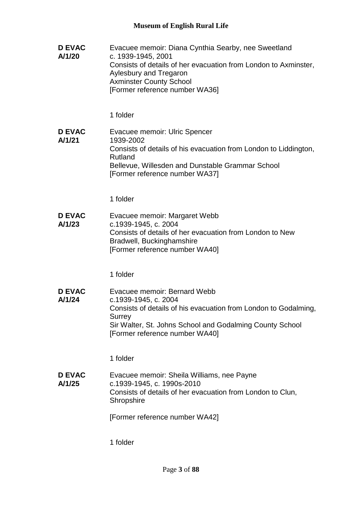| Evacuee memoir: Diana Cynthia Searby, nee Sweetland<br>c. 1939-1945, 2001<br>Consists of details of her evacuation from London to Axminster,<br>Aylesbury and Tregaron<br><b>Axminster County School</b><br>[Former reference number WA36] |
|--------------------------------------------------------------------------------------------------------------------------------------------------------------------------------------------------------------------------------------------|
| 1 folder                                                                                                                                                                                                                                   |
| Evacuee memoir: Ulric Spencer<br>1939-2002<br>Consists of details of his evacuation from London to Liddington,<br>Rutland<br>Bellevue, Willesden and Dunstable Grammar School<br>[Former reference number WA37]                            |
| 1 folder                                                                                                                                                                                                                                   |
| Evacuee memoir: Margaret Webb<br>c.1939-1945, c. 2004<br>Consists of details of her evacuation from London to New<br>Bradwell, Buckinghamshire<br>[Former reference number WA40]                                                           |
| 1 folder                                                                                                                                                                                                                                   |
| Evacuee memoir: Bernard Webb<br>c.1939-1945, c. 2004<br>Consists of details of his evacuation from London to Godalming,<br><b>Surrey</b><br>Sir Walter, St. Johns School and Godalming County School<br>[Former reference number WA40]     |
| 1 folder                                                                                                                                                                                                                                   |
| Evacuee memoir: Sheila Williams, nee Payne<br>c.1939-1945, c. 1990s-2010<br>Consists of details of her evacuation from London to Clun,<br>Shropshire                                                                                       |
| [Former reference number WA42]                                                                                                                                                                                                             |
|                                                                                                                                                                                                                                            |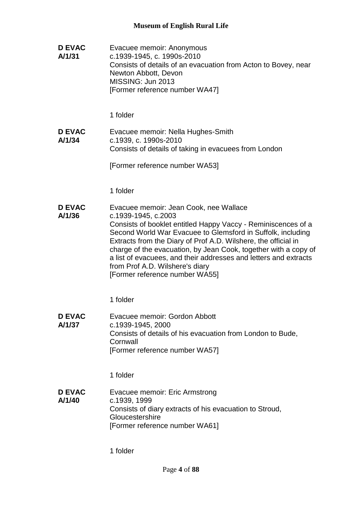**D EVAC A/1/31** Evacuee memoir: Anonymous c.1939-1945, c. 1990s-2010 Consists of details of an evacuation from Acton to Bovey, near Newton Abbott, Devon MISSING: Jun 2013 [Former reference number WA47]

1 folder

**D EVAC A/1/34** Evacuee memoir: Nella Hughes-Smith c.1939, c. 1990s-2010 Consists of details of taking in evacuees from London

[Former reference number WA53]

1 folder

**D EVAC A/1/36** Evacuee memoir: Jean Cook, nee Wallace c.1939-1945, c.2003 Consists of booklet entitled Happy Vaccy - Reminiscences of a Second World War Evacuee to Glemsford in Suffolk, including Extracts from the Diary of Prof A.D. Wilshere, the official in charge of the evacuation, by Jean Cook, together with a copy of a list of evacuees, and their addresses and letters and extracts from Prof A.D. Wilshere's diary [Former reference number WA55]

1 folder

**D EVAC A/1/37** Evacuee memoir: Gordon Abbott c.1939-1945, 2000 Consists of details of his evacuation from London to Bude, **Cornwall** [Former reference number WA57]

1 folder

**D EVAC A/1/40** Evacuee memoir: Eric Armstrong c.1939, 1999 Consists of diary extracts of his evacuation to Stroud, **Gloucestershire** [Former reference number WA61]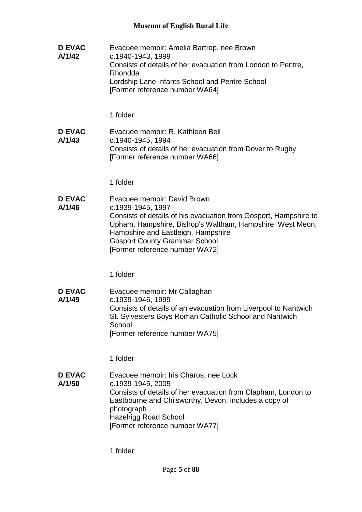**D EVAC A/1/42** Evacuee memoir: Amelia Bartrop, nee Brown c.1940-1943, 1999 Consists of details of her evacuation from London to Pentre, Rhondda Lordship Lane Infants School and Pentre School [Former reference number WA64]

1 folder

**D EVAC A/1/43** Evacuee memoir: R. Kathleen Bell c.1940-1945, 1994 Consists of details of her evacuation from Dover to Rugby [Former reference number WA66]

1 folder

**D EVAC A/1/46** Evacuee memoir: David Brown c.1939-1945, 1997 Consists of details of his evacuation from Gosport, Hampshire to Upham, Hampshire, Bishop's Waltham, Hampshire, West Meon, Hampshire and Eastleigh, Hampshire Gosport County Grammar School [Former reference number WA72]

1 folder

**D EVAC A/1/49** Evacuee memoir: Mr Callaghan c.1939-1946, 1999 Consists of details of an evacuation from Liverpool to Nantwich St. Sylvesters Boys Roman Catholic School and Nantwich **School** [Former reference number WA75]

1 folder

**D EVAC A/1/50** Evacuee memoir: Iris Charos, nee Lock c.1939-1945, 2005 Consists of details of her evacuation from Clapham, London to Eastbourne and Chilsworthy, Devon, includes a copy of photograph Hazelrigg Road School [Former reference number WA77]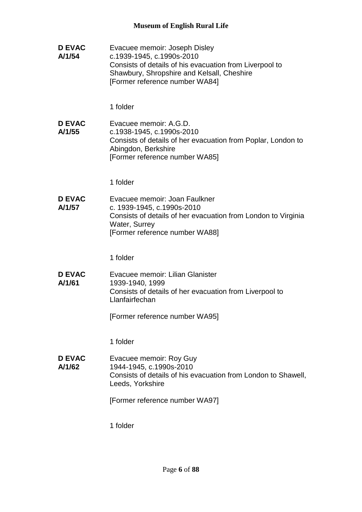**D EVAC A/1/54** Evacuee memoir: Joseph Disley c.1939-1945, c.1990s-2010 Consists of details of his evacuation from Liverpool to Shawbury, Shropshire and Kelsall, Cheshire [Former reference number WA84] 1 folder **D EVAC A/1/55** Evacuee memoir: A.G.D. c.1938-1945, c.1990s-2010 Consists of details of her evacuation from Poplar, London to Abingdon, Berkshire [Former reference number WA85] 1 folder **D EVAC A/1/57** Evacuee memoir: Joan Faulkner c. 1939-1945, c.1990s-2010 Consists of details of her evacuation from London to Virginia Water, Surrey [Former reference number WA88] 1 folder **D EVAC A/1/61** Evacuee memoir: Lilian Glanister 1939-1940, 1999 Consists of details of her evacuation from Liverpool to Llanfairfechan [Former reference number WA95] 1 folder **D EVAC A/1/62** Evacuee memoir: Roy Guy 1944-1945, c.1990s-2010 Consists of details of his evacuation from London to Shawell, Leeds, Yorkshire [Former reference number WA97] 1 folder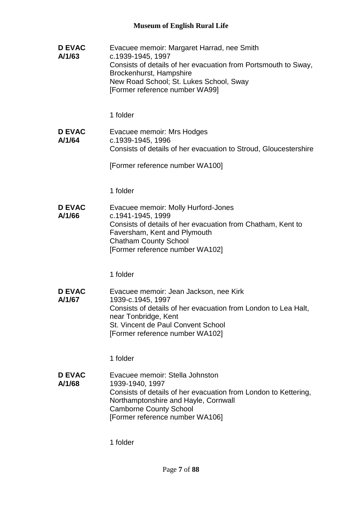**D EVAC A/1/63** Evacuee memoir: Margaret Harrad, nee Smith c.1939-1945, 1997 Consists of details of her evacuation from Portsmouth to Sway, Brockenhurst, Hampshire New Road School; St. Lukes School, Sway [Former reference number WA99] 1 folder **D EVAC A/1/64** Evacuee memoir: Mrs Hodges c.1939-1945, 1996 Consists of details of her evacuation to Stroud, Gloucestershire [Former reference number WA100] 1 folder **D EVAC A/1/66** Evacuee memoir: Molly Hurford-Jones c.1941-1945, 1999 Consists of details of her evacuation from Chatham, Kent to Faversham, Kent and Plymouth Chatham County School [Former reference number WA102] 1 folder **D EVAC A/1/67** Evacuee memoir: Jean Jackson, nee Kirk 1939-c.1945, 1997 Consists of details of her evacuation from London to Lea Halt, near Tonbridge, Kent St. Vincent de Paul Convent School [Former reference number WA102] 1 folder **D EVAC A/1/68** Evacuee memoir: Stella Johnston 1939-1940, 1997 Consists of details of her evacuation from London to Kettering, Northamptonshire and Hayle, Cornwall Camborne County School [Former reference number WA106]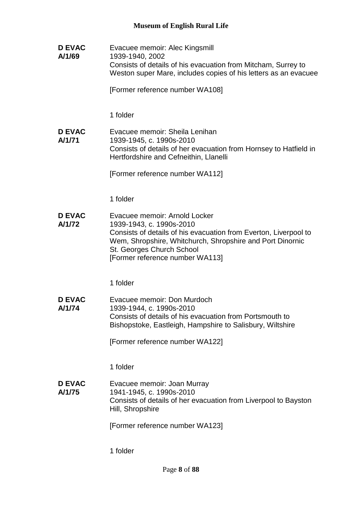**D EVAC A/1/69** Evacuee memoir: Alec Kingsmill 1939-1940, 2002 Consists of details of his evacuation from Mitcham, Surrey to Weston super Mare, includes copies of his letters as an evacuee [Former reference number WA108] 1 folder **D EVAC A/1/71** Evacuee memoir: Sheila Lenihan 1939-1945, c. 1990s-2010 Consists of details of her evacuation from Hornsey to Hatfield in Hertfordshire and Cefneithin, Llanelli [Former reference number WA112] 1 folder **D EVAC A/1/72** Evacuee memoir: Arnold Locker 1939-1943, c. 1990s-2010 Consists of details of his evacuation from Everton, Liverpool to Wem, Shropshire, Whitchurch, Shropshire and Port Dinornic St. Georges Church School [Former reference number WA113] 1 folder **D EVAC A/1/74** Evacuee memoir: Don Murdoch 1939-1944, c. 1990s-2010 Consists of details of his evacuation from Portsmouth to Bishopstoke, Eastleigh, Hampshire to Salisbury, Wiltshire [Former reference number WA122] 1 folder **D EVAC A/1/75** Evacuee memoir: Joan Murray 1941-1945, c. 1990s-2010 Consists of details of her evacuation from Liverpool to Bayston Hill, Shropshire [Former reference number WA123] 1 folder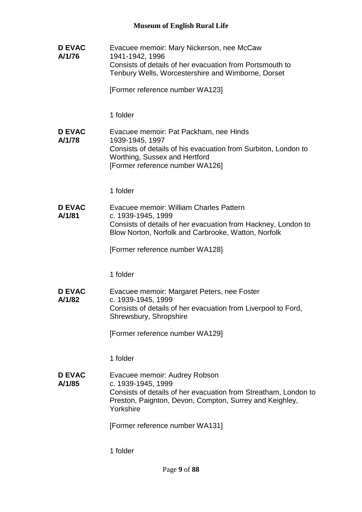**D EVAC A/1/76** Evacuee memoir: Mary Nickerson, nee McCaw 1941-1942, 1996 Consists of details of her evacuation from Portsmouth to Tenbury Wells, Worcestershire and Wimborne, Dorset [Former reference number WA123] 1 folder **D EVAC A/1/78** Evacuee memoir: Pat Packham, nee Hinds 1939-1945, 1997 Consists of details of his evacuation from Surbiton, London to Worthing, Sussex and Hertford [Former reference number WA126] 1 folder **D EVAC A/1/81** Evacuee memoir: William Charles Pattern c. 1939-1945, 1999 Consists of details of her evacuation from Hackney, London to Blow Norton, Norfolk and Carbrooke, Watton, Norfolk [Former reference number WA128] 1 folder **D EVAC A/1/82** Evacuee memoir: Margaret Peters, nee Foster c. 1939-1945, 1999 Consists of details of her evacuation from Liverpool to Ford, Shrewsbury, Shropshire [Former reference number WA129] 1 folder **D EVAC A/1/85** Evacuee memoir: Audrey Robson c. 1939-1945, 1999 Consists of details of her evacuation from Streatham, London to Preston, Paignton, Devon, Compton, Surrey and Keighley, Yorkshire [Former reference number WA131] 1 folder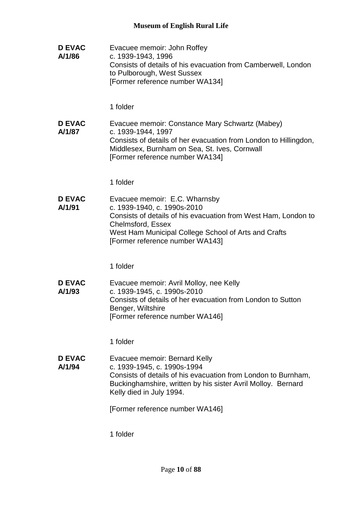**D EVAC A/1/86** Evacuee memoir: John Roffey c. 1939-1943, 1996 Consists of details of his evacuation from Camberwell, London to Pulborough, West Sussex [Former reference number WA134] 1 folder **D EVAC A/1/87** Evacuee memoir: Constance Mary Schwartz (Mabey) c. 1939-1944, 1997 Consists of details of her evacuation from London to Hillingdon, Middlesex, Burnham on Sea, St. Ives, Cornwall [Former reference number WA134] 1 folder **D EVAC A/1/91** Evacuee memoir: E.C. Wharnsby c. 1939-1940, c. 1990s-2010 Consists of details of his evacuation from West Ham, London to Chelmsford, Essex West Ham Municipal College School of Arts and Crafts [Former reference number WA143] 1 folder **D EVAC A/1/93** Evacuee memoir: Avril Molloy, nee Kelly c. 1939-1945, c. 1990s-2010 Consists of details of her evacuation from London to Sutton Benger, Wiltshire [Former reference number WA146] 1 folder **D EVAC A/1/94** Evacuee memoir: Bernard Kelly c. 1939-1945, c. 1990s-1994 Consists of details of his evacuation from London to Burnham, Buckinghamshire, written by his sister Avril Molloy. Bernard Kelly died in July 1994. [Former reference number WA146] 1 folder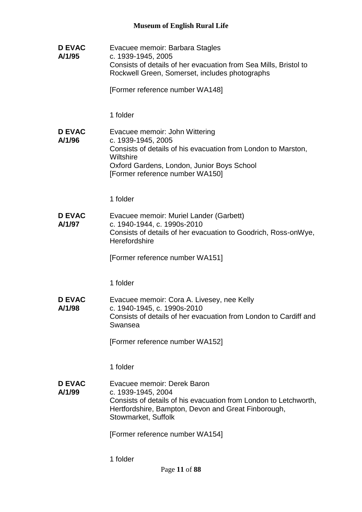**D EVAC A/1/95** Evacuee memoir: Barbara Stagles c. 1939-1945, 2005 Consists of details of her evacuation from Sea Mills, Bristol to Rockwell Green, Somerset, includes photographs [Former reference number WA148] 1 folder **D EVAC A/1/96** Evacuee memoir: John Wittering c. 1939-1945, 2005 Consists of details of his evacuation from London to Marston, **Wiltshire** Oxford Gardens, London, Junior Boys School [Former reference number WA150] 1 folder **D EVAC A/1/97** Evacuee memoir: Muriel Lander (Garbett) c. 1940-1944, c. 1990s-2010 Consists of details of her evacuation to Goodrich, Ross-onWye, **Herefordshire** [Former reference number WA151] 1 folder **D EVAC A/1/98** Evacuee memoir: Cora A. Livesey, nee Kelly c. 1940-1945, c. 1990s-2010 Consists of details of her evacuation from London to Cardiff and Swansea [Former reference number WA152] 1 folder **D EVAC A/1/99** Evacuee memoir: Derek Baron c. 1939-1945, 2004 Consists of details of his evacuation from London to Letchworth, Hertfordshire, Bampton, Devon and Great Finborough, Stowmarket, Suffolk [Former reference number WA154] 1 folder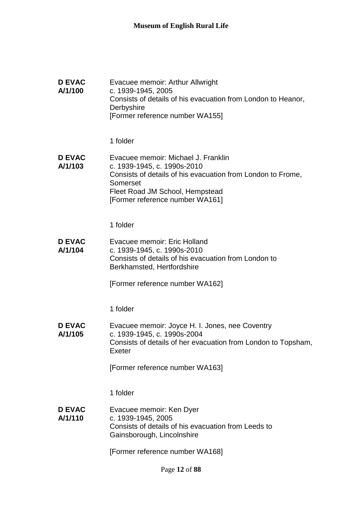| <b>D EVAC</b><br>A/1/100 | Evacuee memoir: Arthur Allwright<br>c. 1939-1945, 2005<br>Consists of details of his evacuation from London to Heanor,<br>Derbyshire<br>[Former reference number WA155]                                             |
|--------------------------|---------------------------------------------------------------------------------------------------------------------------------------------------------------------------------------------------------------------|
|                          | 1 folder                                                                                                                                                                                                            |
| <b>D EVAC</b><br>A/1/103 | Evacuee memoir: Michael J. Franklin<br>c. 1939-1945, c. 1990s-2010<br>Consists of details of his evacuation from London to Frome,<br>Somerset<br>Fleet Road JM School, Hempstead<br>[Former reference number WA161] |
|                          | 1 folder                                                                                                                                                                                                            |
| <b>D EVAC</b><br>A/1/104 | Evacuee memoir: Eric Holland<br>c. 1939-1945, c. 1990s-2010<br>Consists of details of his evacuation from London to<br>Berkhamsted, Hertfordshire                                                                   |
|                          | [Former reference number WA162]                                                                                                                                                                                     |
|                          | 1 folder                                                                                                                                                                                                            |
| <b>D EVAC</b><br>A/1/105 | Evacuee memoir: Joyce H. I. Jones, nee Coventry<br>c. 1939-1945, c. 1990s-2004<br>Consists of details of her evacuation from London to Topsham,<br>Exeter                                                           |
|                          | [Former reference number WA163]                                                                                                                                                                                     |
|                          | 1 folder                                                                                                                                                                                                            |
| <b>D EVAC</b><br>A/1/110 | Evacuee memoir: Ken Dyer<br>c. 1939-1945, 2005<br>Consists of details of his evacuation from Leeds to<br>Gainsborough, Lincolnshire                                                                                 |
|                          | [Former reference number WA168]                                                                                                                                                                                     |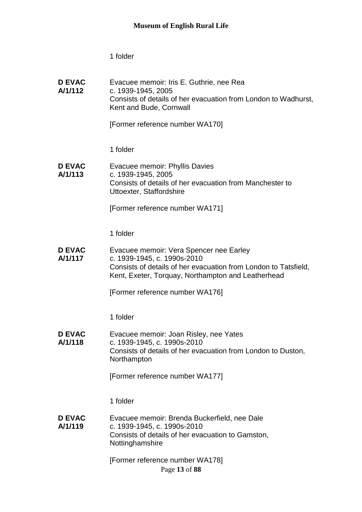| <b>D EVAC</b><br>A/1/112 | Evacuee memoir: Iris E. Guthrie, nee Rea<br>c. 1939-1945, 2005<br>Consists of details of her evacuation from London to Wadhurst,<br>Kent and Bude, Cornwall                                     |
|--------------------------|-------------------------------------------------------------------------------------------------------------------------------------------------------------------------------------------------|
|                          | [Former reference number WA170]                                                                                                                                                                 |
|                          | 1 folder                                                                                                                                                                                        |
| <b>D EVAC</b><br>A/1/113 | Evacuee memoir: Phyllis Davies<br>c. 1939-1945, 2005<br>Consists of details of her evacuation from Manchester to<br>Uttoexter, Staffordshire                                                    |
|                          | [Former reference number WA171]                                                                                                                                                                 |
|                          | 1 folder                                                                                                                                                                                        |
| <b>D EVAC</b><br>A/1/117 | Evacuee memoir: Vera Spencer nee Earley<br>c. 1939-1945, c. 1990s-2010<br>Consists of details of her evacuation from London to Tatsfield,<br>Kent, Exeter, Torquay, Northampton and Leatherhead |
|                          | [Former reference number WA176]                                                                                                                                                                 |
|                          | 1 folder                                                                                                                                                                                        |
| <b>D EVAC</b><br>A/1/118 | Evacuee memoir: Joan Risley, nee Yates<br>c. 1939-1945, c. 1990s-2010<br>Consists of details of her evacuation from London to Duston,                                                           |
|                          | Northampton<br>[Former reference number WA177]                                                                                                                                                  |
|                          | 1 folder                                                                                                                                                                                        |
| <b>D EVAC</b><br>A/1/119 | Evacuee memoir: Brenda Buckerfield, nee Dale<br>c. 1939-1945, c. 1990s-2010<br>Consists of details of her evacuation to Gamston,<br>Nottinghamshire                                             |
|                          | [Former reference number WA178]<br>Page 13 of 88                                                                                                                                                |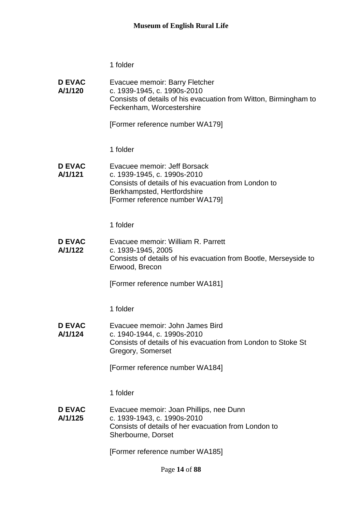**D EVAC A/1/120** Evacuee memoir: Barry Fletcher c. 1939-1945, c. 1990s-2010 Consists of details of his evacuation from Witton, Birmingham to Feckenham, Worcestershire

[Former reference number WA179]

1 folder

**D EVAC A/1/121** Evacuee memoir: Jeff Borsack c. 1939-1945, c. 1990s-2010 Consists of details of his evacuation from London to Berkhampsted, Hertfordshire [Former reference number WA179]

1 folder

**D EVAC A/1/122** Evacuee memoir: William R. Parrett c. 1939-1945, 2005 Consists of details of his evacuation from Bootle, Merseyside to Erwood, Brecon

[Former reference number WA181]

1 folder

**D EVAC A/1/124** Evacuee memoir: John James Bird c. 1940-1944, c. 1990s-2010 Consists of details of his evacuation from London to Stoke St Gregory, Somerset

[Former reference number WA184]

1 folder

**D EVAC A/1/125** Evacuee memoir: Joan Phillips, nee Dunn c. 1939-1943, c. 1990s-2010 Consists of details of her evacuation from London to Sherbourne, Dorset

[Former reference number WA185]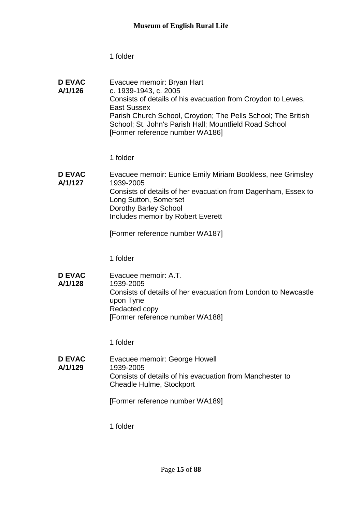| <b>D EVAC</b><br>A/1/126 | Evacuee memoir: Bryan Hart<br>c. 1939-1943, c. 2005                                                                    |
|--------------------------|------------------------------------------------------------------------------------------------------------------------|
|                          | Consists of details of his evacuation from Croydon to Lewes,<br>East Sussex                                            |
|                          | Parish Church School, Croydon; The Pells School; The British<br>School; St. John's Parish Hall; Mountfield Road School |
|                          | [Former reference number WA186]                                                                                        |

1 folder

| Evacuee memoir: Eunice Emily Miriam Bookless, nee Grimsley    |
|---------------------------------------------------------------|
| 1939-2005                                                     |
| Consists of details of her evacuation from Dagenham, Essex to |
| Long Sutton, Somerset                                         |
| Dorothy Barley School                                         |
| Includes memoir by Robert Everett                             |
|                                                               |

[Former reference number WA187]

1 folder

**D EVAC A/1/128** Evacuee memoir: A.T. 1939-2005 Consists of details of her evacuation from London to Newcastle upon Tyne Redacted copy [Former reference number WA188]

1 folder

**D EVAC A/1/129** Evacuee memoir: George Howell 1939-2005 Consists of details of his evacuation from Manchester to Cheadle Hulme, Stockport

[Former reference number WA189]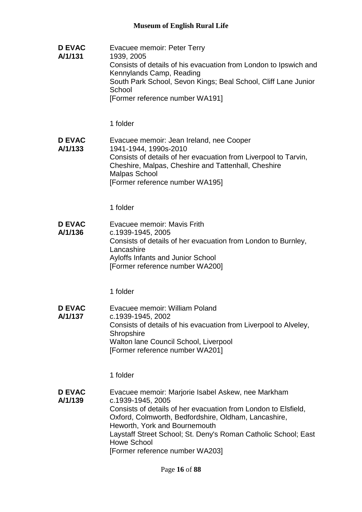**D EVAC A/1/131** Evacuee memoir: Peter Terry 1939, 2005 Consists of details of his evacuation from London to Ipswich and Kennylands Camp, Reading South Park School, Sevon Kings; Beal School, Cliff Lane Junior **School** [Former reference number WA191]

1 folder

**D EVAC A/1/133** Evacuee memoir: Jean Ireland, nee Cooper 1941-1944, 1990s-2010 Consists of details of her evacuation from Liverpool to Tarvin, Cheshire, Malpas, Cheshire and Tattenhall, Cheshire Malpas School [Former reference number WA195]

1 folder

**D EVAC A/1/136** Evacuee memoir: Mavis Frith c.1939-1945, 2005 Consists of details of her evacuation from London to Burnley, Lancashire Ayloffs Infants and Junior School [Former reference number WA200]

1 folder

**D EVAC A/1/137** Evacuee memoir: William Poland c.1939-1945, 2002 Consists of details of his evacuation from Liverpool to Alveley, **Shropshire** Walton lane Council School, Liverpool [Former reference number WA201]

1 folder

**D EVAC A/1/139** Evacuee memoir: Marjorie Isabel Askew, nee Markham c.1939-1945, 2005 Consists of details of her evacuation from London to Elsfield, Oxford, Colmworth, Bedfordshire, Oldham, Lancashire, Heworth, York and Bournemouth Laystaff Street School; St. Deny's Roman Catholic School; East Howe School [Former reference number WA203]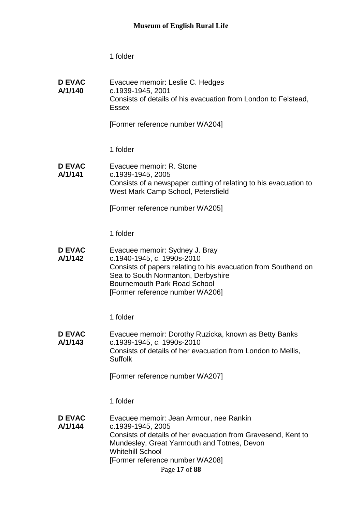**D EVAC A/1/140** Evacuee memoir: Leslie C. Hedges c.1939-1945, 2001 Consists of details of his evacuation from London to Felstead, Essex

[Former reference number WA204]

1 folder

**D EVAC A/1/141** Evacuee memoir: R. Stone c.1939-1945, 2005 Consists of a newspaper cutting of relating to his evacuation to West Mark Camp School, Petersfield

[Former reference number WA205]

1 folder

**D EVAC A/1/142** Evacuee memoir: Sydney J. Bray c.1940-1945, c. 1990s-2010 Consists of papers relating to his evacuation from Southend on Sea to South Normanton, Derbyshire Bournemouth Park Road School [Former reference number WA206]

1 folder

**D EVAC A/1/143** Evacuee memoir: Dorothy Ruzicka, known as Betty Banks c.1939-1945, c. 1990s-2010 Consists of details of her evacuation from London to Mellis, Suffolk

[Former reference number WA207]

1 folder

**D EVAC A/1/144** Evacuee memoir: Jean Armour, nee Rankin c.1939-1945, 2005 Consists of details of her evacuation from Gravesend, Kent to Mundesley, Great Yarmouth and Totnes, Devon Whitehill School [Former reference number WA208]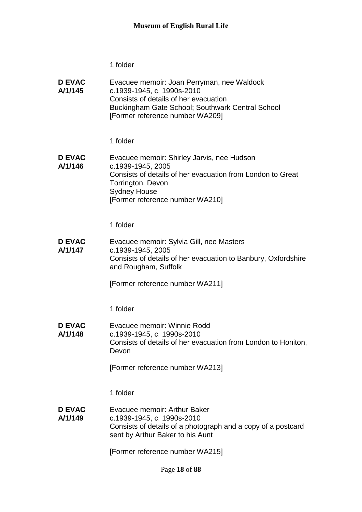| <b>D EVAC</b><br>A/1/145 | Evacuee memoir: Joan Perryman, nee Waldock<br>c.1939-1945, c. 1990s-2010<br>Consists of details of her evacuation<br>Buckingham Gate School; Southwark Central School<br>[Former reference number WA209]     |
|--------------------------|--------------------------------------------------------------------------------------------------------------------------------------------------------------------------------------------------------------|
|                          | 1 folder                                                                                                                                                                                                     |
| <b>D EVAC</b><br>A/1/146 | Evacuee memoir: Shirley Jarvis, nee Hudson<br>c.1939-1945, 2005<br>Consists of details of her evacuation from London to Great<br>Torrington, Devon<br><b>Sydney House</b><br>[Former reference number WA210] |
|                          | 1 folder                                                                                                                                                                                                     |
| <b>D EVAC</b><br>A/1/147 | Evacuee memoir: Sylvia Gill, nee Masters<br>c.1939-1945, 2005<br>Consists of details of her evacuation to Banbury, Oxfordshire<br>and Rougham, Suffolk                                                       |
|                          | [Former reference number WA211]                                                                                                                                                                              |
|                          | 1 folder                                                                                                                                                                                                     |
| <b>D EVAC</b><br>A/1/148 | Evacuee memoir: Winnie Rodd<br>c.1939-1945, c. 1990s-2010<br>Consists of details of her evacuation from London to Honiton,<br>Devon                                                                          |
|                          | [Former reference number WA213]                                                                                                                                                                              |
|                          | 1 folder                                                                                                                                                                                                     |
| <b>D EVAC</b><br>A/1/149 | Evacuee memoir: Arthur Baker<br>c.1939-1945, c. 1990s-2010<br>Consists of details of a photograph and a copy of a postcard<br>sent by Arthur Baker to his Aunt                                               |
|                          | [Former reference number WA215]                                                                                                                                                                              |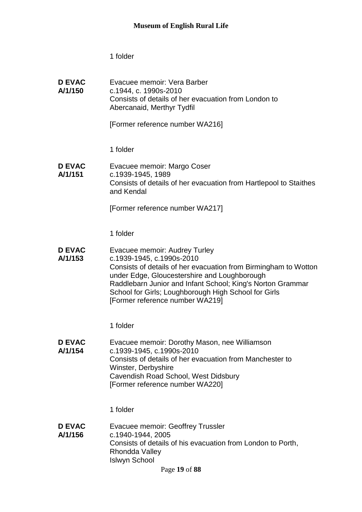Evacuee memoir: Vera Barber

c.1944, c. 1990s-2010

1 folder

**D EVAC A/1/150**

|                          | Consists of details of her evacuation from London to<br>Abercanaid, Merthyr Tydfil                                                                                                                                                                                                                                                     |
|--------------------------|----------------------------------------------------------------------------------------------------------------------------------------------------------------------------------------------------------------------------------------------------------------------------------------------------------------------------------------|
|                          | [Former reference number WA216]                                                                                                                                                                                                                                                                                                        |
|                          | 1 folder                                                                                                                                                                                                                                                                                                                               |
| <b>D EVAC</b><br>A/1/151 | Evacuee memoir: Margo Coser<br>c.1939-1945, 1989<br>Consists of details of her evacuation from Hartlepool to Staithes<br>and Kendal                                                                                                                                                                                                    |
|                          | [Former reference number WA217]                                                                                                                                                                                                                                                                                                        |
|                          | 1 folder                                                                                                                                                                                                                                                                                                                               |
| <b>D EVAC</b><br>A/1/153 | Evacuee memoir: Audrey Turley<br>c.1939-1945, c.1990s-2010<br>Consists of details of her evacuation from Birmingham to Wotton<br>under Edge, Gloucestershire and Loughborough<br>Raddlebarn Junior and Infant School; King's Norton Grammar<br>School for Girls; Loughborough High School for Girls<br>[Former reference number WA219] |
|                          | 1 folder                                                                                                                                                                                                                                                                                                                               |
| <b>D EVAC</b><br>A/1/154 | Evacuee memoir: Dorothy Mason, nee Williamson<br>c.1939-1945, c.1990s-2010<br>Consists of details of her evacuation from Manchester to<br>Winster, Derbyshire<br>Cavendish Road School, West Didsbury<br>[Former reference number WA220]                                                                                               |
|                          | 1 folder                                                                                                                                                                                                                                                                                                                               |
| D EVAC                   | Evacues memoir: Geoffrey Truccler                                                                                                                                                                                                                                                                                                      |

**D EVAC A/1/156** Evacuee memoir: Geoffrey Trussler c.1940-1944, 2005 Consists of details of his evacuation from London to Porth, Rhondda Valley Islwyn School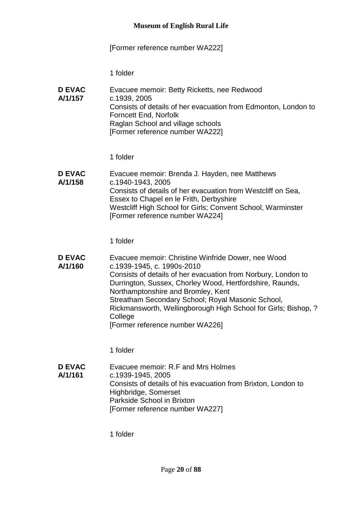# [Former reference number WA222]

1 folder

| <b>D EVAC</b><br>A/1/157 | Evacuee memoir: Betty Ricketts, nee Redwood<br>c.1939, 2005    |
|--------------------------|----------------------------------------------------------------|
|                          | Consists of details of her evacuation from Edmonton, London to |
|                          | Forncett End, Norfolk                                          |
|                          | Raglan School and village schools                              |
|                          | [Former reference number WA222]                                |

1 folder

| <b>D EVAC</b> | Evacuee memoir: Brenda J. Hayden, nee Matthews               |
|---------------|--------------------------------------------------------------|
| A/1/158       | c.1940-1943, 2005                                            |
|               | Consists of details of her evacuation from Westcliff on Sea, |
|               | Essex to Chapel en le Frith, Derbyshire                      |
|               | Westcliff High School for Girls; Convent School, Warminster  |
|               | [Former reference number WA224]                              |

1 folder

| <b>D EVAC</b> | Evacuee memoir: Christine Winfride Dower, nee Wood             |
|---------------|----------------------------------------------------------------|
| A/1/160       | c.1939-1945, c. 1990s-2010                                     |
|               | Consists of details of her evacuation from Norbury, London to  |
|               | Durrington, Sussex, Chorley Wood, Hertfordshire, Raunds,       |
|               | Northamptonshire and Bromley, Kent                             |
|               | Streatham Secondary School; Royal Masonic School,              |
|               | Rickmansworth, Wellingborough High School for Girls; Bishop, ? |
|               | College                                                        |
|               | [Former reference number WA226]                                |

1 folder

**D EVAC A/1/161** Evacuee memoir: R.F and Mrs Holmes c.1939-1945, 2005 Consists of details of his evacuation from Brixton, London to Highbridge, Somerset Parkside School in Brixton [Former reference number WA227]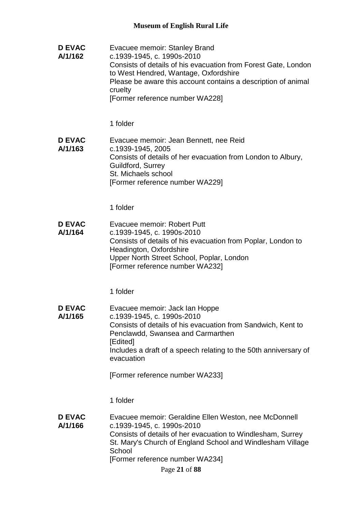**D EVAC A/1/162** Evacuee memoir: Stanley Brand c.1939-1945, c. 1990s-2010 Consists of details of his evacuation from Forest Gate, London to West Hendred, Wantage, Oxfordshire Please be aware this account contains a description of animal cruelty [Former reference number WA228]

1 folder

**D EVAC A/1/163** Evacuee memoir: Jean Bennett, nee Reid c.1939-1945, 2005 Consists of details of her evacuation from London to Albury, Guildford, Surrey St. Michaels school [Former reference number WA229]

1 folder

**D EVAC A/1/164** Evacuee memoir: Robert Putt c.1939-1945, c. 1990s-2010 Consists of details of his evacuation from Poplar, London to Headington, Oxfordshire Upper North Street School, Poplar, London [Former reference number WA232]

1 folder

**D EVAC A/1/165** Evacuee memoir: Jack Ian Hoppe c.1939-1945, c. 1990s-2010 Consists of details of his evacuation from Sandwich, Kent to Penclawdd, Swansea and Carmarthen [Edited] Includes a draft of a speech relating to the 50th anniversary of evacuation

[Former reference number WA233]

1 folder

**D EVAC A/1/166** Evacuee memoir: Geraldine Ellen Weston, nee McDonnell c.1939-1945, c. 1990s-2010 Consists of details of her evacuation to Windlesham, Surrey St. Mary's Church of England School and Windlesham Village **School** [Former reference number WA234]

Page **21** of **88**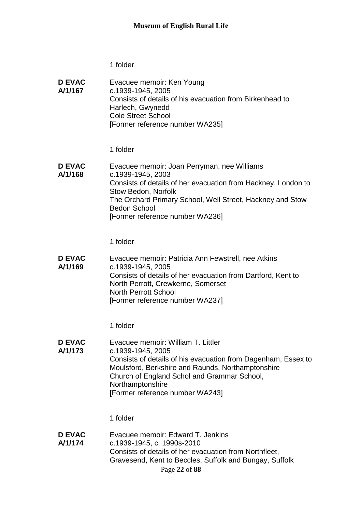| <b>D EVAC</b> | Evacuee memoir: Ken Young                                |
|---------------|----------------------------------------------------------|
| A/1/167       | c.1939-1945, 2005                                        |
|               | Consists of details of his evacuation from Birkenhead to |
|               | Harlech, Gwynedd                                         |
|               | <b>Cole Street School</b>                                |
|               | [Former reference number WA235]                          |

1 folder

**D EVAC A/1/168** Evacuee memoir: Joan Perryman, nee Williams c.1939-1945, 2003 Consists of details of her evacuation from Hackney, London to Stow Bedon, Norfolk The Orchard Primary School, Well Street, Hackney and Stow Bedon School [Former reference number WA236]

1 folder

**D EVAC A/1/169** Evacuee memoir: Patricia Ann Fewstrell, nee Atkins c.1939-1945, 2005 Consists of details of her evacuation from Dartford, Kent to North Perrott, Crewkerne, Somerset North Perrott School [Former reference number WA237]

1 folder

**D EVAC A/1/173** Evacuee memoir: William T. Littler c.1939-1945, 2005 Consists of details of his evacuation from Dagenham, Essex to Moulsford, Berkshire and Raunds, Northamptonshire Church of England Schol and Grammar School, **Northamptonshire** [Former reference number WA243]

1 folder

Page **22** of **88 D EVAC A/1/174** Evacuee memoir: Edward T. Jenkins c.1939-1945, c. 1990s-2010 Consists of details of her evacuation from Northfleet, Gravesend, Kent to Beccles, Suffolk and Bungay, Suffolk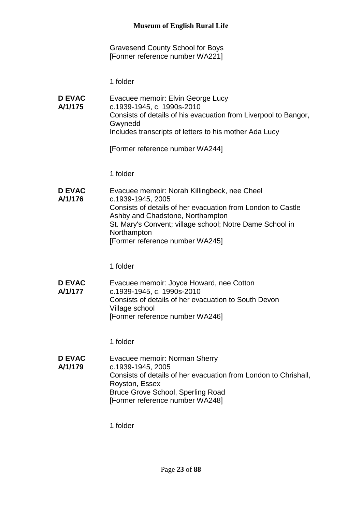Gravesend County School for Boys [Former reference number WA221]

1 folder

**D EVAC A/1/175** Evacuee memoir: Elvin George Lucy c.1939-1945, c. 1990s-2010 Consists of details of his evacuation from Liverpool to Bangor, Gwynedd Includes transcripts of letters to his mother Ada Lucy

[Former reference number WA244]

1 folder

**D EVAC A/1/176** Evacuee memoir: Norah Killingbeck, nee Cheel c.1939-1945, 2005 Consists of details of her evacuation from London to Castle Ashby and Chadstone, Northampton St. Mary's Convent; village school; Notre Dame School in **Northampton** [Former reference number WA245]

1 folder

**D EVAC A/1/177** Evacuee memoir: Joyce Howard, nee Cotton c.1939-1945, c. 1990s-2010 Consists of details of her evacuation to South Devon Village school [Former reference number WA246]

1 folder

**D EVAC A/1/179** Evacuee memoir: Norman Sherry c.1939-1945, 2005 Consists of details of her evacuation from London to Chrishall, Royston, Essex Bruce Grove School, Sperling Road [Former reference number WA248]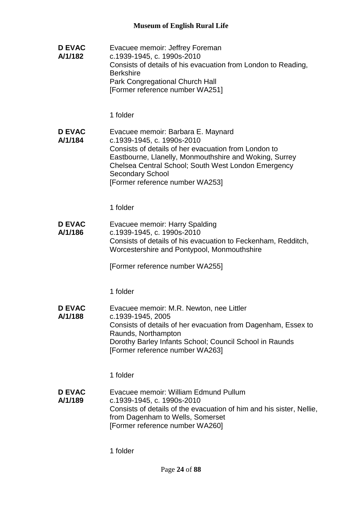**D EVAC A/1/182** Evacuee memoir: Jeffrey Foreman c.1939-1945, c. 1990s-2010 Consists of details of his evacuation from London to Reading, **Berkshire** Park Congregational Church Hall [Former reference number WA251]

1 folder

**D EVAC A/1/184** Evacuee memoir: Barbara E. Maynard c.1939-1945, c. 1990s-2010 Consists of details of her evacuation from London to Eastbourne, Llanelly, Monmouthshire and Woking, Surrey Chelsea Central School; South West London Emergency Secondary School [Former reference number WA253]

1 folder

**D EVAC A/1/186** Evacuee memoir: Harry Spalding c.1939-1945, c. 1990s-2010 Consists of details of his evacuation to Feckenham, Redditch, Worcestershire and Pontypool, Monmouthshire

[Former reference number WA255]

1 folder

**D EVAC A/1/188** Evacuee memoir: M.R. Newton, nee Littler c.1939-1945, 2005 Consists of details of her evacuation from Dagenham, Essex to Raunds, Northampton Dorothy Barley Infants School; Council School in Raunds [Former reference number WA263]

1 folder

**D EVAC A/1/189** Evacuee memoir: William Edmund Pullum c.1939-1945, c. 1990s-2010 Consists of details of the evacuation of him and his sister, Nellie, from Dagenham to Wells, Somerset [Former reference number WA260]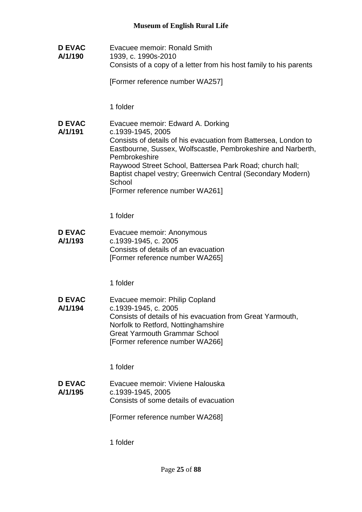**D EVAC A/1/190** Evacuee memoir: Ronald Smith 1939, c. 1990s-2010 Consists of a copy of a letter from his host family to his parents

[Former reference number WA257]

1 folder

**D EVAC A/1/191** Evacuee memoir: Edward A. Dorking c.1939-1945, 2005 Consists of details of his evacuation from Battersea, London to Eastbourne, Sussex, Wolfscastle, Pembrokeshire and Narberth, Pembrokeshire Raywood Street School, Battersea Park Road; church hall; Baptist chapel vestry; Greenwich Central (Secondary Modern) **School** [Former reference number WA261]

1 folder

**D EVAC A/1/193** Evacuee memoir: Anonymous c.1939-1945, c. 2005 Consists of details of an evacuation [Former reference number WA265]

1 folder

**D EVAC A/1/194** Evacuee memoir: Philip Copland c.1939-1945, c. 2005 Consists of details of his evacuation from Great Yarmouth, Norfolk to Retford, Nottinghamshire Great Yarmouth Grammar School [Former reference number WA266]

1 folder

**D EVAC A/1/195** Evacuee memoir: Viviene Halouska c.1939-1945, 2005 Consists of some details of evacuation

[Former reference number WA268]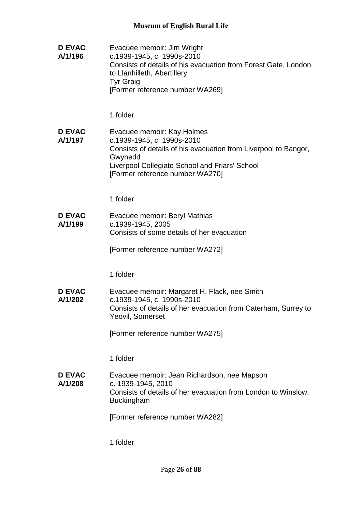**D EVAC A/1/196** Evacuee memoir: Jim Wright c.1939-1945, c. 1990s-2010 Consists of details of his evacuation from Forest Gate, London to Llanhilleth, Abertillery Tyr Graig [Former reference number WA269] 1 folder **D EVAC A/1/197** Evacuee memoir: Kay Holmes c.1939-1945, c. 1990s-2010 Consists of details of his evacuation from Liverpool to Bangor, Gwynedd Liverpool Collegiate School and Friars' School [Former reference number WA270] 1 folder **D EVAC A/1/199** Evacuee memoir: Beryl Mathias c.1939-1945, 2005 Consists of some details of her evacuation [Former reference number WA272] 1 folder **D EVAC A/1/202** Evacuee memoir: Margaret H. Flack, nee Smith c.1939-1945, c. 1990s-2010 Consists of details of her evacuation from Caterham, Surrey to Yeovil, Somerset [Former reference number WA275] 1 folder **D EVAC A/1/208** Evacuee memoir: Jean Richardson, nee Mapson c. 1939-1945, 2010 Consists of details of her evacuation from London to Winslow, Buckingham [Former reference number WA282]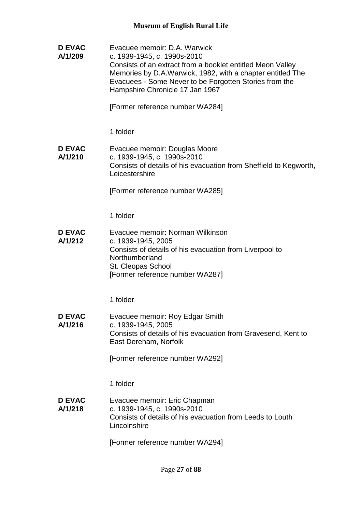**D EVAC A/1/209** Evacuee memoir: D.A. Warwick c. 1939-1945, c. 1990s-2010 Consists of an extract from a booklet entitled Meon Valley Memories by D.A.Warwick, 1982, with a chapter entitled The Evacuees - Some Never to be Forgotten Stories from the Hampshire Chronicle 17 Jan 1967

[Former reference number WA284]

1 folder

#### **D EVAC A/1/210** Evacuee memoir: Douglas Moore c. 1939-1945, c. 1990s-2010 Consists of details of his evacuation from Sheffield to Kegworth, **Leicestershire**

[Former reference number WA285]

1 folder

**D EVAC A/1/212** Evacuee memoir: Norman Wilkinson c. 1939-1945, 2005 Consists of details of his evacuation from Liverpool to Northumberland St. Cleopas School [Former reference number WA287]

1 folder

**D EVAC A/1/216** Evacuee memoir: Roy Edgar Smith c. 1939-1945, 2005 Consists of details of his evacuation from Gravesend, Kent to East Dereham, Norfolk

[Former reference number WA292]

1 folder

**D EVAC A/1/218** Evacuee memoir: Eric Chapman c. 1939-1945, c. 1990s-2010 Consists of details of his evacuation from Leeds to Louth Lincolnshire

[Former reference number WA294]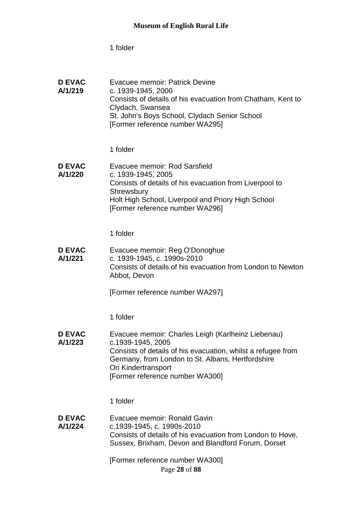| <b>D EVAC</b><br>A/1/219 | Evacuee memoir: Patrick Devine<br>c. 1939-1945, 2000<br>Consists of details of his evacuation from Chatham, Kent to<br>Clydach, Swansea |
|--------------------------|-----------------------------------------------------------------------------------------------------------------------------------------|
|                          | St. John's Boys School, Clydach Senior School<br>[Former reference number WA295]                                                        |

1 folder

**D EVAC A/1/220** Evacuee memoir: Rod Sarsfield c. 1939-1945, 2005 Consists of details of his evacuation from Liverpool to **Shrewsbury** Holt High School, Liverpool and Priory High School [Former reference number WA296]

1 folder

**D EVAC A/1/221** Evacuee memoir: Reg O'Donoghue c. 1939-1945, c. 1990s-2010 Consists of details of his evacuation from London to Newton Abbot, Devon

[Former reference number WA297]

1 folder

**D EVAC A/1/223** Evacuee memoir: Charles Leigh (Karlheinz Liebenau) c.1939-1945, 2005 Consists of details of his evacuation, whilst a refugee from Germany, from London to St. Albans, Hertfordshire On Kindertransport [Former reference number WA300]

1 folder

**D EVAC A/1/224** Evacuee memoir: Ronald Gavin c.1939-1945, c. 1990s-2010 Consists of details of his evacuation from London to Hove, Sussex, Brixham, Devon and Blandford Forum, Dorset

Page **28** of **88** [Former reference number WA300]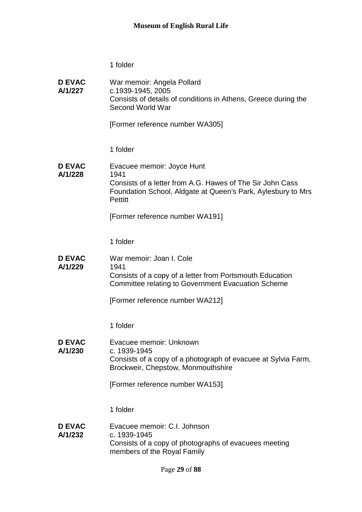**D EVAC A/1/227** War memoir: Angela Pollard c.1939-1945, 2005 Consists of details of conditions in Athens, Greece during the Second World War [Former reference number WA305] 1 folder **D EVAC A/1/228** Evacuee memoir: Joyce Hunt 1941 Consists of a letter from A.G. Hawes of The Sir John Cass Foundation School, Aldgate at Queen's Park, Aylesbury to Mrs **Pettitt** [Former reference number WA191] 1 folder **D EVAC A/1/229** War memoir: Joan I. Cole 1941 Consists of a copy of a letter from Portsmouth Education Committee relating to Government Evacuation Scheme [Former reference number WA212] 1 folder **D EVAC A/1/230** Evacuee memoir: Unknown c. 1939-1945 Consists of a copy of a photograph of evacuee at Sylvia Farm, Brockweir, Chepstow, Monmouthshire [Former reference number WA153] 1 folder **D EVAC A/1/232** Evacuee memoir: C.I. Johnson c. 1939-1945 Consists of a copy of photographs of evacuees meeting members of the Royal Family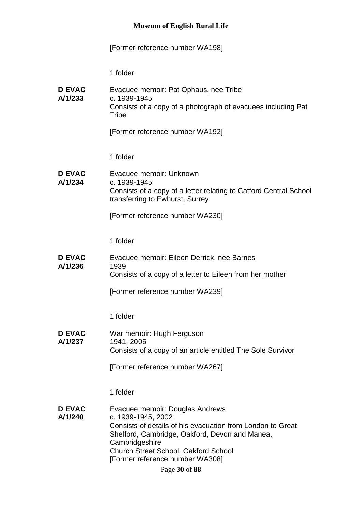[Former reference number WA198]

| <b>D EVAC</b><br>A/1/233 | Evacuee memoir: Pat Ophaus, nee Tribe<br>c. 1939-1945<br>Consists of a copy of a photograph of evacuees including Pat<br>Tribe<br>[Former reference number WA192]                                                                                                  |
|--------------------------|--------------------------------------------------------------------------------------------------------------------------------------------------------------------------------------------------------------------------------------------------------------------|
|                          | 1 folder                                                                                                                                                                                                                                                           |
| <b>D EVAC</b><br>A/1/234 | Evacuee memoir: Unknown<br>c. 1939-1945<br>Consists of a copy of a letter relating to Catford Central School<br>transferring to Ewhurst, Surrey                                                                                                                    |
|                          | [Former reference number WA230]                                                                                                                                                                                                                                    |
|                          | 1 folder                                                                                                                                                                                                                                                           |
| <b>D EVAC</b><br>A/1/236 | Evacuee memoir: Eileen Derrick, nee Barnes<br>1939                                                                                                                                                                                                                 |
|                          | Consists of a copy of a letter to Eileen from her mother                                                                                                                                                                                                           |
|                          | [Former reference number WA239]                                                                                                                                                                                                                                    |
|                          | 1 folder                                                                                                                                                                                                                                                           |
| <b>D EVAC</b>            | War memoir: Hugh Ferguson                                                                                                                                                                                                                                          |
| A/1/237                  | 1941, 2005<br>Consists of a copy of an article entitled The Sole Survivor                                                                                                                                                                                          |
|                          | [Former reference number WA267]                                                                                                                                                                                                                                    |
|                          | 1 folder                                                                                                                                                                                                                                                           |
| <b>D EVAC</b><br>A/1/240 | Evacuee memoir: Douglas Andrews<br>c. 1939-1945, 2002<br>Consists of details of his evacuation from London to Great<br>Shelford, Cambridge, Oakford, Devon and Manea,<br>Cambridgeshire<br>Church Street School, Oakford School<br>[Former reference number WA308] |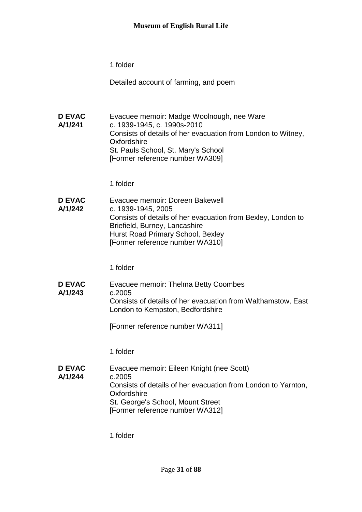Detailed account of farming, and poem

**D EVAC A/1/241** Evacuee memoir: Madge Woolnough, nee Ware c. 1939-1945, c. 1990s-2010 Consists of details of her evacuation from London to Witney, **Oxfordshire** St. Pauls School, St. Mary's School [Former reference number WA309]

1 folder

**D EVAC A/1/242** Evacuee memoir: Doreen Bakewell c. 1939-1945, 2005 Consists of details of her evacuation from Bexley, London to Briefield, Burney, Lancashire Hurst Road Primary School, Bexley [Former reference number WA310]

1 folder

**D EVAC A/1/243** Evacuee memoir: Thelma Betty Coombes c.2005 Consists of details of her evacuation from Walthamstow, East London to Kempston, Bedfordshire

[Former reference number WA311]

1 folder

**D EVAC A/1/244** Evacuee memoir: Eileen Knight (nee Scott) c.2005 Consists of details of her evacuation from London to Yarnton, **Oxfordshire** St. George's School, Mount Street [Former reference number WA312]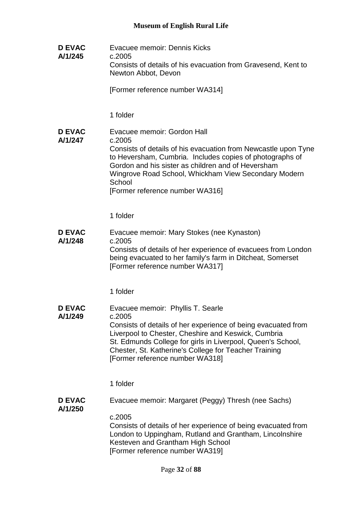**D EVAC A/1/245** Evacuee memoir: Dennis Kicks c.2005 Consists of details of his evacuation from Gravesend, Kent to Newton Abbot, Devon

[Former reference number WA314]

1 folder

**D EVAC A/1/247** Evacuee memoir: Gordon Hall c.2005 Consists of details of his evacuation from Newcastle upon Tyne to Heversham, Cumbria. Includes copies of photographs of Gordon and his sister as children and of Heversham Wingrove Road School, Whickham View Secondary Modern **School** [Former reference number WA316]

1 folder

**D EVAC A/1/248** Evacuee memoir: Mary Stokes (nee Kynaston) c.2005 Consists of details of her experience of evacuees from London being evacuated to her family's farm in Ditcheat, Somerset [Former reference number WA317]

1 folder

**D EVAC A/1/249** Evacuee memoir: Phyllis T. Searle c.2005 Consists of details of her experience of being evacuated from Liverpool to Chester, Cheshire and Keswick, Cumbria St. Edmunds College for girls in Liverpool, Queen's School, Chester, St. Katherine's College for Teacher Training [Former reference number WA318]

1 folder

- **D EVAC A/1/250** Evacuee memoir: Margaret (Peggy) Thresh (nee Sachs)
	- c.2005

Consists of details of her experience of being evacuated from London to Uppingham, Rutland and Grantham, Lincolnshire Kesteven and Grantham High School [Former reference number WA319]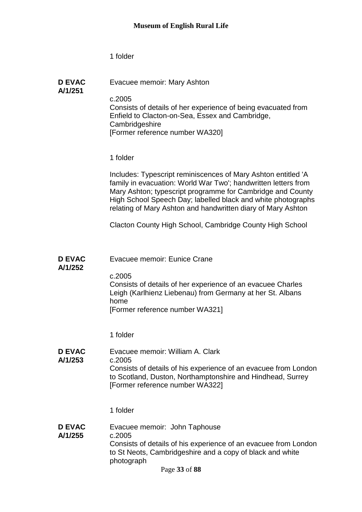**D EVAC** 

Evacuee memoir: Mary Ashton

**A/1/251**

c.2005 Consists of details of her experience of being evacuated from Enfield to Clacton-on-Sea, Essex and Cambridge, **Cambridgeshire** [Former reference number WA320]

1 folder

Includes: Typescript reminiscences of Mary Ashton entitled 'A family in evacuation: World War Two'; handwritten letters from Mary Ashton; typescript programme for Cambridge and County High School Speech Day; labelled black and white photographs relating of Mary Ashton and handwritten diary of Mary Ashton

Clacton County High School, Cambridge County High School

- **D EVAC**  Evacuee memoir: Eunice Crane
- **A/1/252**

c.2005 Consists of details of her experience of an evacuee Charles Leigh (Karlhienz Liebenau) from Germany at her St. Albans home

[Former reference number WA321]

- 1 folder
- **D EVAC A/1/253** Evacuee memoir: William A. Clark c.2005 Consists of details of his experience of an evacuee from London to Scotland, Duston, Northamptonshire and Hindhead, Surrey [Former reference number WA322]
	- 1 folder
- **D EVAC A/1/255** Evacuee memoir: John Taphouse c.2005 Consists of details of his experience of an evacuee from London to St Neots, Cambridgeshire and a copy of black and white photograph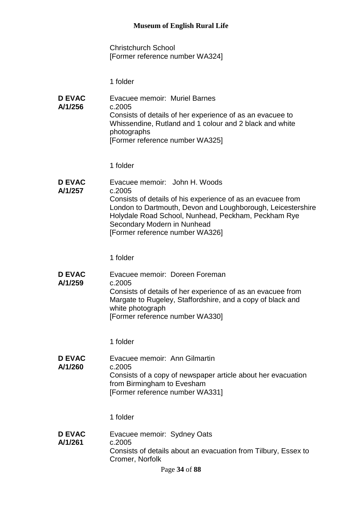Christchurch School [Former reference number WA324]

1 folder

**D EVAC A/1/256** Evacuee memoir: Muriel Barnes c.2005 Consists of details of her experience of as an evacuee to Whissendine, Rutland and 1 colour and 2 black and white photographs [Former reference number WA325]

1 folder

**D EVAC A/1/257** Evacuee memoir: John H. Woods c.2005 Consists of details of his experience of as an evacuee from London to Dartmouth, Devon and Loughborough, Leicestershire Holydale Road School, Nunhead, Peckham, Peckham Rye Secondary Modern in Nunhead [Former reference number WA326]

1 folder

**D EVAC A/1/259** Evacuee memoir: Doreen Foreman c.2005 Consists of details of her experience of as an evacuee from Margate to Rugeley, Staffordshire, and a copy of black and white photograph [Former reference number WA330]

1 folder

**D EVAC A/1/260** Evacuee memoir: Ann Gilmartin c.2005 Consists of a copy of newspaper article about her evacuation from Birmingham to Evesham [Former reference number WA331]

1 folder

**D EVAC A/1/261** Evacuee memoir: Sydney Oats c.2005 Consists of details about an evacuation from Tilbury, Essex to Cromer, Norfolk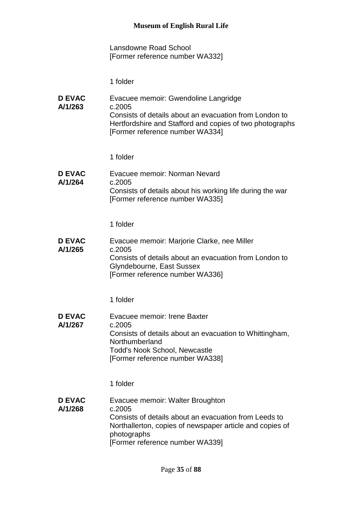Lansdowne Road School [Former reference number WA332]

1 folder

| <b>D EVAC</b><br>A/1/263 | Evacuee memoir: Gwendoline Langridge<br>c.2005<br>Consists of details about an evacuation from London to<br>Hertfordshire and Stafford and copies of two photographs<br>[Former reference number WA334] |
|--------------------------|---------------------------------------------------------------------------------------------------------------------------------------------------------------------------------------------------------|
|                          | 1 folder                                                                                                                                                                                                |
| <b>D EVAC</b><br>A/1/264 | Evacuee memoir: Norman Nevard<br>c.2005<br>Consists of details about his working life during the war<br>[Former reference number WA335]                                                                 |

1 folder

| <b>D EVAC</b> | Evacuee memoir: Marjorie Clarke, nee Miller            |
|---------------|--------------------------------------------------------|
| A/1/265       | c.2005                                                 |
|               | Consists of details about an evacuation from London to |
|               | Glyndebourne, East Sussex                              |
|               | [Former reference number WA336]                        |

1 folder

**D EVAC A/1/267** Evacuee memoir: Irene Baxter c.2005 Consists of details about an evacuation to Whittingham, Northumberland Todd's Nook School, Newcastle [Former reference number WA338]

1 folder

**D EVAC A/1/268** Evacuee memoir: Walter Broughton c.2005 Consists of details about an evacuation from Leeds to Northallerton, copies of newspaper article and copies of photographs [Former reference number WA339]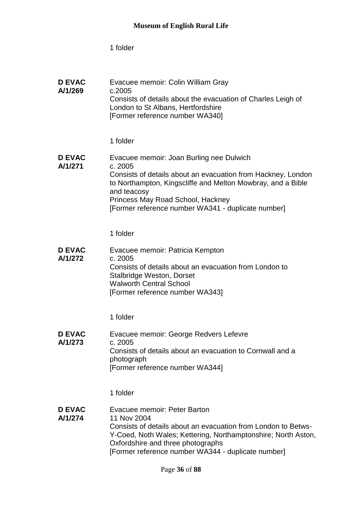| <b>D EVAC</b><br>A/1/269 | Evacuee memoir: Colin William Gray<br>c.2005<br>Consists of details about the evacuation of Charles Leigh of<br>London to St Albans, Hertfordshire<br>[Former reference number WA340]                                                                                                        |
|--------------------------|----------------------------------------------------------------------------------------------------------------------------------------------------------------------------------------------------------------------------------------------------------------------------------------------|
|                          | 1 folder                                                                                                                                                                                                                                                                                     |
| <b>D EVAC</b><br>A/1/271 | Evacuee memoir: Joan Burling nee Dulwich<br>c. 2005<br>Consists of details about an evacuation from Hackney, London<br>to Northampton, Kingscliffe and Melton Mowbray, and a Bible<br>and teacosy<br>Princess May Road School, Hackney<br>[Former reference number WA341 - duplicate number] |
|                          | 1 folder                                                                                                                                                                                                                                                                                     |
| <b>D EVAC</b><br>A/1/272 | Evacuee memoir: Patricia Kempton<br>c. 2005<br>Consists of details about an evacuation from London to<br>Stalbridge Weston, Dorset<br><b>Walworth Central School</b><br>[Former reference number WA343]                                                                                      |
|                          | 1 folder                                                                                                                                                                                                                                                                                     |
| <b>D EVAC</b><br>A/1/273 | Evacuee memoir: George Redvers Lefevre<br>c. 2005<br>Consists of details about an evacuation to Cornwall and a<br>photograph<br>[Former reference number WA344]                                                                                                                              |
|                          | 1 folder                                                                                                                                                                                                                                                                                     |
| <b>D EVAC</b><br>A/1/274 | Evacuee memoir: Peter Barton<br>11 Nov 2004<br>Consists of details about an evacuation from London to Betws-<br>Y-Coed, Noth Wales; Kettering, Northamptonshire; North Aston,<br>Oxfordshire and three photographs<br>[Former reference number WA344 - duplicate number]                     |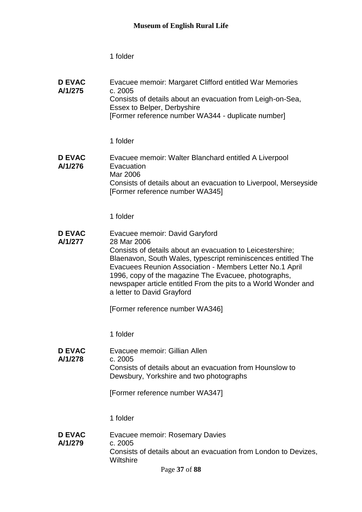| <b>D EVAC</b><br>A/1/275 | Evacuee memoir: Margaret Clifford entitled War Memories<br>c. 2005<br>Consists of details about an evacuation from Leigh-on-Sea,<br>Essex to Belper, Derbyshire<br>[Former reference number WA344 - duplicate number]                                                                                                                                                                            |
|--------------------------|--------------------------------------------------------------------------------------------------------------------------------------------------------------------------------------------------------------------------------------------------------------------------------------------------------------------------------------------------------------------------------------------------|
|                          | 1 folder                                                                                                                                                                                                                                                                                                                                                                                         |
| <b>D EVAC</b><br>A/1/276 | Evacuee memoir: Walter Blanchard entitled A Liverpool<br>Evacuation<br>Mar 2006<br>Consists of details about an evacuation to Liverpool, Merseyside<br>[Former reference number WA345]                                                                                                                                                                                                           |
|                          | 1 folder                                                                                                                                                                                                                                                                                                                                                                                         |
| <b>D EVAC</b><br>A/1/277 | Evacuee memoir: David Garyford<br>28 Mar 2006<br>Consists of details about an evacuation to Leicestershire;<br>Blaenavon, South Wales, typescript reminiscences entitled The<br>Evacuees Reunion Association - Members Letter No.1 April<br>1996, copy of the magazine The Evacuee, photographs,<br>newspaper article entitled From the pits to a World Wonder and<br>a letter to David Grayford |
|                          | [Former reference number WA346]                                                                                                                                                                                                                                                                                                                                                                  |
|                          | 1 folder                                                                                                                                                                                                                                                                                                                                                                                         |
| <b>D EVAC</b><br>A/1/278 | Evacuee memoir: Gillian Allen<br>c. 2005<br>Consists of details about an evacuation from Hounslow to<br>Dewsbury, Yorkshire and two photographs<br>[Former reference number WA347]                                                                                                                                                                                                               |
|                          | 1 folder                                                                                                                                                                                                                                                                                                                                                                                         |
| <b>D EVAC</b><br>A/1/279 | <b>Evacuee memoir: Rosemary Davies</b><br>c. 2005<br>Consists of details about an evacuation from London to Devizes,<br>Wiltshire                                                                                                                                                                                                                                                                |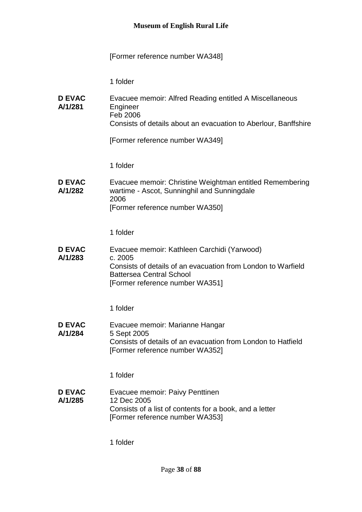# [Former reference number WA348]

| <b>D EVAC</b><br>A/1/281 | Evacuee memoir: Alfred Reading entitled A Miscellaneous<br>Engineer<br>Feb 2006<br>Consists of details about an evacuation to Aberlour, Banffshire                                           |
|--------------------------|----------------------------------------------------------------------------------------------------------------------------------------------------------------------------------------------|
|                          | [Former reference number WA349]                                                                                                                                                              |
|                          | 1 folder                                                                                                                                                                                     |
| <b>D EVAC</b><br>A/1/282 | Evacuee memoir: Christine Weightman entitled Remembering<br>wartime - Ascot, Sunninghil and Sunningdale<br>2006<br>[Former reference number WA350]                                           |
|                          | 1 folder                                                                                                                                                                                     |
| <b>D EVAC</b><br>A/1/283 | Evacuee memoir: Kathleen Carchidi (Yarwood)<br>c. 2005<br>Consists of details of an evacuation from London to Warfield<br><b>Battersea Central School</b><br>[Former reference number WA351] |
|                          | 1 folder                                                                                                                                                                                     |
| <b>D EVAC</b><br>A/1/284 | Evacuee memoir: Marianne Hangar<br>5 Sept 2005<br>Consists of details of an evacuation from London to Hatfield<br>[Former reference number WA352]                                            |
|                          | 1 folder                                                                                                                                                                                     |
| <b>D EVAC</b><br>A/1/285 | Evacuee memoir: Paivy Penttinen<br>12 Dec 2005<br>Consists of a list of contents for a book, and a letter<br>[Former reference number WA353]                                                 |
|                          | 1 folder                                                                                                                                                                                     |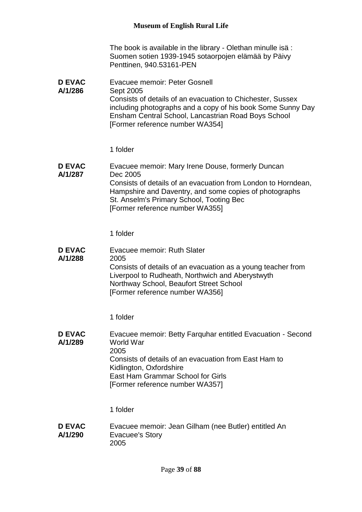The book is available in the library - Olethan minulle isä : Suomen sotien 1939-1945 sotaorpojen elämää by Päivy Penttinen, 940.53161-PEN

**D EVAC A/1/286** Evacuee memoir: Peter Gosnell Sept 2005 Consists of details of an evacuation to Chichester, Sussex including photographs and a copy of his book Some Sunny Day Ensham Central School, Lancastrian Road Boys School [Former reference number WA354]

#### 1 folder

**D EVAC A/1/287** Evacuee memoir: Mary Irene Douse, formerly Duncan Dec 2005 Consists of details of an evacuation from London to Horndean, Hampshire and Daventry, and some copies of photographs St. Anselm's Primary School, Tooting Bec [Former reference number WA355]

1 folder

**D EVAC A/1/288** Evacuee memoir: Ruth Slater 2005 Consists of details of an evacuation as a young teacher from Liverpool to Rudheath, Northwich and Aberystwyth Northway School, Beaufort Street School [Former reference number WA356]

1 folder

**D EVAC A/1/289** Evacuee memoir: Betty Farquhar entitled Evacuation - Second World War 2005 Consists of details of an evacuation from East Ham to Kidlington, Oxfordshire East Ham Grammar School for Girls [Former reference number WA357]

1 folder

**D EVAC A/1/290** Evacuee memoir: Jean Gilham (nee Butler) entitled An Evacuee's Story 2005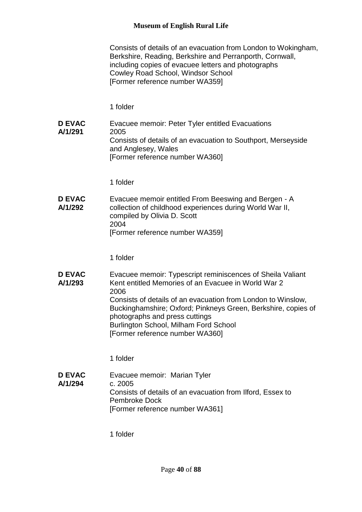Consists of details of an evacuation from London to Wokingham, Berkshire, Reading, Berkshire and Perranporth, Cornwall, including copies of evacuee letters and photographs Cowley Road School, Windsor School [Former reference number WA359]

1 folder

**D EVAC A/1/291** Evacuee memoir: Peter Tyler entitled Evacuations 2005 Consists of details of an evacuation to Southport, Merseyside and Anglesey, Wales [Former reference number WA360]

1 folder

**D EVAC A/1/292** Evacuee memoir entitled From Beeswing and Bergen - A collection of childhood experiences during World War II, compiled by Olivia D. Scott 2004 [Former reference number WA359]

1 folder

**D EVAC A/1/293** Evacuee memoir: Typescript reminiscences of Sheila Valiant Kent entitled Memories of an Evacuee in World War 2 2006 Consists of details of an evacuation from London to Winslow, Buckinghamshire; Oxford; Pinkneys Green, Berkshire, copies of photographs and press cuttings Burlington School, Milham Ford School [Former reference number WA360]

1 folder

**D EVAC A/1/294** Evacuee memoir: Marian Tyler c. 2005 Consists of details of an evacuation from Ilford, Essex to Pembroke Dock [Former reference number WA361]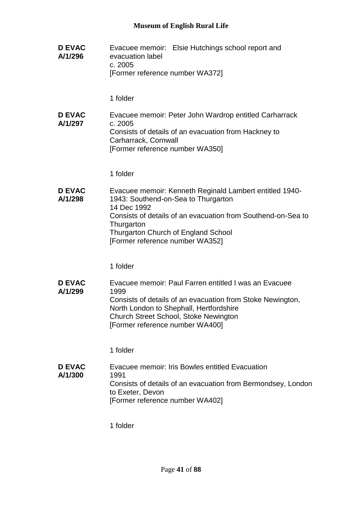**D EVAC A/1/296** Evacuee memoir: Elsie Hutchings school report and evacuation label c. 2005 [Former reference number WA372] 1 folder **D EVAC A/1/297** Evacuee memoir: Peter John Wardrop entitled Carharrack c. 2005 Consists of details of an evacuation from Hackney to Carharrack, Cornwall [Former reference number WA350] 1 folder **D EVAC A/1/298** Evacuee memoir: Kenneth Reginald Lambert entitled 1940- 1943: Southend-on-Sea to Thurgarton 14 Dec 1992 Consists of details of an evacuation from Southend-on-Sea to **Thurgarton** Thurgarton Church of England School [Former reference number WA352] 1 folder **D EVAC A/1/299** Evacuee memoir: Paul Farren entitled I was an Evacuee 1999 Consists of details of an evacuation from Stoke Newington, North London to Shephall, Hertfordshire Church Street School, Stoke Newington [Former reference number WA400] 1 folder **D EVAC A/1/300** Evacuee memoir: Iris Bowles entitled Evacuation 1991 Consists of details of an evacuation from Bermondsey, London to Exeter, Devon [Former reference number WA402]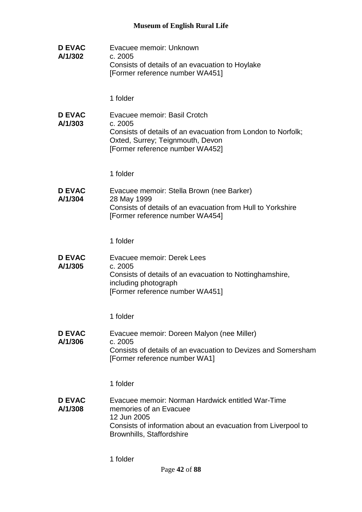**D EVAC A/1/302** Evacuee memoir: Unknown c. 2005 Consists of details of an evacuation to Hoylake [Former reference number WA451] 1 folder **D EVAC A/1/303** Evacuee memoir: Basil Crotch c. 2005 Consists of details of an evacuation from London to Norfolk; Oxted, Surrey; Teignmouth, Devon [Former reference number WA452] 1 folder **D EVAC A/1/304** Evacuee memoir: Stella Brown (nee Barker) 28 May 1999 Consists of details of an evacuation from Hull to Yorkshire [Former reference number WA454] 1 folder **D EVAC A/1/305** Evacuee memoir: Derek Lees c. 2005 Consists of details of an evacuation to Nottinghamshire, including photograph [Former reference number WA451] 1 folder **D EVAC A/1/306** Evacuee memoir: Doreen Malyon (nee Miller) c. 2005 Consists of details of an evacuation to Devizes and Somersham [Former reference number WA1] 1 folder **D EVAC A/1/308** Evacuee memoir: Norman Hardwick entitled War-Time memories of an Evacuee 12 Jun 2005 Consists of information about an evacuation from Liverpool to Brownhills, Staffordshire 1 folder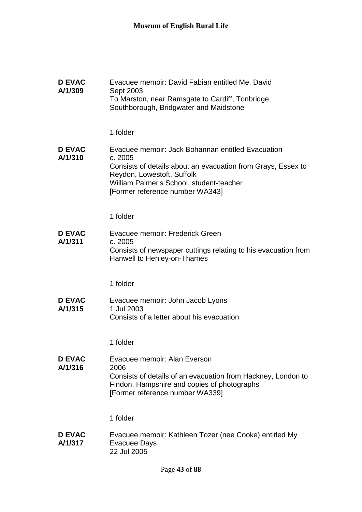| <b>D EVAC</b><br>A/1/309 | Evacuee memoir: David Fabian entitled Me, David<br>Sept 2003<br>To Marston, near Ramsgate to Cardiff, Tonbridge,<br>Southborough, Bridgwater and Maidstone                                                                                |
|--------------------------|-------------------------------------------------------------------------------------------------------------------------------------------------------------------------------------------------------------------------------------------|
|                          | 1 folder                                                                                                                                                                                                                                  |
| <b>D EVAC</b><br>A/1/310 | Evacuee memoir: Jack Bohannan entitled Evacuation<br>c. 2005<br>Consists of details about an evacuation from Grays, Essex to<br>Reydon, Lowestoft, Suffolk<br>William Palmer's School, student-teacher<br>[Former reference number WA343] |
|                          | 1 folder                                                                                                                                                                                                                                  |
| <b>D EVAC</b><br>A/1/311 | Evacuee memoir: Frederick Green<br>c. 2005<br>Consists of newspaper cuttings relating to his evacuation from<br>Hanwell to Henley-on-Thames                                                                                               |
|                          | 1 folder                                                                                                                                                                                                                                  |
| <b>D EVAC</b><br>A/1/315 | Evacuee memoir: John Jacob Lyons<br>1 Jul 2003<br>Consists of a letter about his evacuation                                                                                                                                               |
|                          | 1 folder                                                                                                                                                                                                                                  |
| <b>D EVAC</b><br>A/1/316 | Evacuee memoir: Alan Everson<br>2006<br>Consists of details of an evacuation from Hackney, London to<br>Findon, Hampshire and copies of photographs<br>[Former reference number WA339]                                                    |
|                          | 1 folder                                                                                                                                                                                                                                  |
| <b>D EVAC</b><br>A/1/317 | Evacuee memoir: Kathleen Tozer (nee Cooke) entitled My<br><b>Evacuee Days</b><br>22 Jul 2005                                                                                                                                              |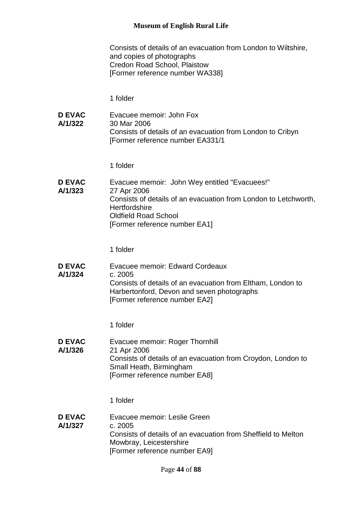Consists of details of an evacuation from London to Wiltshire, and copies of photographs Credon Road School, Plaistow [Former reference number WA338]

1 folder

**D EVAC A/1/322** Evacuee memoir: John Fox 30 Mar 2006 Consists of details of an evacuation from London to Cribyn [Former reference number EA331/1

1 folder

**D EVAC A/1/323** Evacuee memoir: John Wey entitled "Evacuees!" 27 Apr 2006 Consists of details of an evacuation from London to Letchworth, **Hertfordshire** Oldfield Road School [Former reference number EA1]

1 folder

**D EVAC A/1/324** Evacuee memoir: Edward Cordeaux c. 2005 Consists of details of an evacuation from Eltham, London to Harbertonford, Devon and seven photographs [Former reference number EA2]

1 folder

**D EVAC A/1/326** Evacuee memoir: Roger Thornhill 21 Apr 2006 Consists of details of an evacuation from Croydon, London to Small Heath, Birmingham [Former reference number EA8]

1 folder

**D EVAC A/1/327** Evacuee memoir: Leslie Green c. 2005 Consists of details of an evacuation from Sheffield to Melton Mowbray, Leicestershire [Former reference number EA9]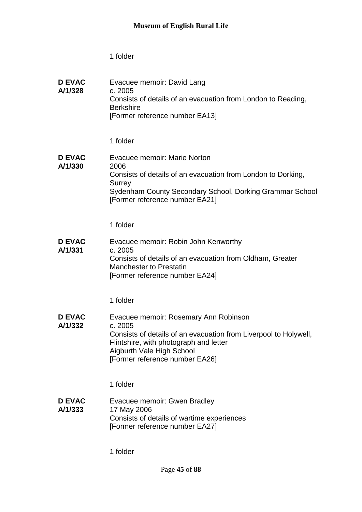| <b>D EVAC</b><br>A/1/328 | Evacuee memoir: David Lang<br>c. 2005<br>Consists of details of an evacuation from London to Reading,<br><b>Berkshire</b><br>[Former reference number EA13]                                                                   |
|--------------------------|-------------------------------------------------------------------------------------------------------------------------------------------------------------------------------------------------------------------------------|
|                          | 1 folder                                                                                                                                                                                                                      |
| <b>D EVAC</b><br>A/1/330 | Evacuee memoir: Marie Norton<br>2006<br>Consists of details of an evacuation from London to Dorking,<br>Surrey<br>Sydenham County Secondary School, Dorking Grammar School<br>[Former reference number EA21]                  |
|                          | 1 folder                                                                                                                                                                                                                      |
| <b>D EVAC</b><br>A/1/331 | Evacuee memoir: Robin John Kenworthy<br>c. 2005<br>Consists of details of an evacuation from Oldham, Greater<br><b>Manchester to Prestatin</b><br>[Former reference number EA24]                                              |
|                          | 1 folder                                                                                                                                                                                                                      |
| <b>D EVAC</b><br>A/1/332 | Evacuee memoir: Rosemary Ann Robinson<br>c. 2005<br>Consists of details of an evacuation from Liverpool to Holywell,<br>Flintshire, with photograph and letter<br>Aigburth Vale High School<br>[Former reference number EA26] |
|                          | 1 folder                                                                                                                                                                                                                      |
| <b>D EVAC</b><br>A/1/333 | Evacuee memoir: Gwen Bradley<br>17 May 2006<br>Consists of details of wartime experiences<br>[Former reference number EA27]                                                                                                   |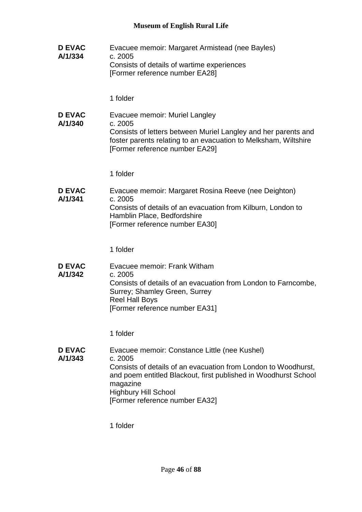**D EVAC A/1/334** Evacuee memoir: Margaret Armistead (nee Bayles) c. 2005 Consists of details of wartime experiences [Former reference number EA28]

1 folder

**D EVAC A/1/340** Evacuee memoir: Muriel Langley c. 2005 Consists of letters between Muriel Langley and her parents and foster parents relating to an evacuation to Melksham, Wiltshire [Former reference number EA29]

1 folder

**D EVAC A/1/341** Evacuee memoir: Margaret Rosina Reeve (nee Deighton) c. 2005 Consists of details of an evacuation from Kilburn, London to Hamblin Place, Bedfordshire [Former reference number EA30]

1 folder

**D EVAC A/1/342** Evacuee memoir: Frank Witham c. 2005 Consists of details of an evacuation from London to Farncombe, Surrey; Shamley Green, Surrey Reel Hall Boys [Former reference number EA31]

1 folder

**D EVAC A/1/343** Evacuee memoir: Constance Little (nee Kushel) c. 2005 Consists of details of an evacuation from London to Woodhurst, and poem entitled Blackout, first published in Woodhurst School magazine Highbury Hill School [Former reference number EA32]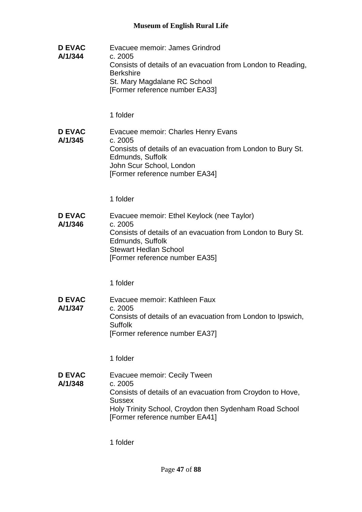**D EVAC A/1/344** Evacuee memoir: James Grindrod c. 2005 Consists of details of an evacuation from London to Reading, **Berkshire** St. Mary Magdalane RC School [Former reference number EA33] 1 folder **D EVAC A/1/345** Evacuee memoir: Charles Henry Evans c. 2005 Consists of details of an evacuation from London to Bury St. Edmunds, Suffolk John Scur School, London [Former reference number EA34] 1 folder **D EVAC A/1/346** Evacuee memoir: Ethel Keylock (nee Taylor) c. 2005 Consists of details of an evacuation from London to Bury St. Edmunds, Suffolk Stewart Hedlan School [Former reference number EA35] 1 folder **D EVAC A/1/347** Evacuee memoir: Kathleen Faux c. 2005 Consists of details of an evacuation from London to Ipswich, Suffolk [Former reference number EA37] 1 folder **D EVAC A/1/348** Evacuee memoir: Cecily Tween c. 2005 Consists of details of an evacuation from Croydon to Hove, **Sussex** Holy Trinity School, Croydon then Sydenham Road School [Former reference number EA41]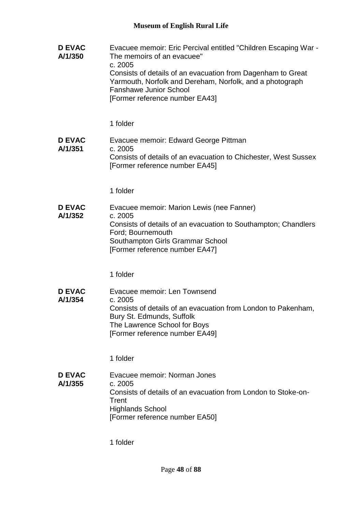**D EVAC A/1/350** Evacuee memoir: Eric Percival entitled "Children Escaping War - The memoirs of an evacuee" c. 2005 Consists of details of an evacuation from Dagenham to Great Yarmouth, Norfolk and Dereham, Norfolk, and a photograph Fanshawe Junior School [Former reference number EA43] 1 folder **D EVAC A/1/351** Evacuee memoir: Edward George Pittman c. 2005 Consists of details of an evacuation to Chichester, West Sussex [Former reference number EA45] 1 folder **D EVAC A/1/352** Evacuee memoir: Marion Lewis (nee Fanner) c. 2005 Consists of details of an evacuation to Southampton; Chandlers Ford; Bournemouth Southampton Girls Grammar School [Former reference number EA47] 1 folder **D EVAC A/1/354** Evacuee memoir: Len Townsend c. 2005 Consists of details of an evacuation from London to Pakenham, Bury St. Edmunds, Suffolk The Lawrence School for Boys [Former reference number EA49] 1 folder **D EVAC A/1/355** Evacuee memoir: Norman Jones c. 2005 Consists of details of an evacuation from London to Stoke-on-**Trent** Highlands School [Former reference number EA50]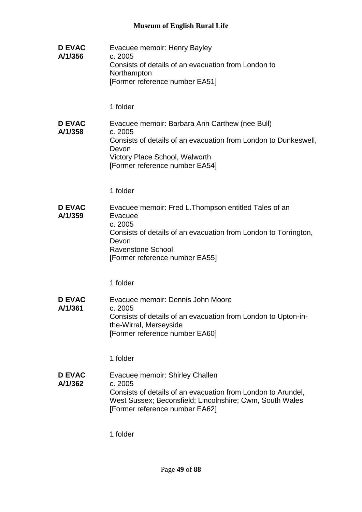**D EVAC A/1/356** Evacuee memoir: Henry Bayley c. 2005 Consists of details of an evacuation from London to **Northampton** [Former reference number EA51]

1 folder

#### **D EVAC A/1/358** Evacuee memoir: Barbara Ann Carthew (nee Bull) c. 2005 Consists of details of an evacuation from London to Dunkeswell, Devon Victory Place School, Walworth [Former reference number EA54]

1 folder

#### **D EVAC A/1/359** Evacuee memoir: Fred L.Thompson entitled Tales of an Evacuee c. 2005 Consists of details of an evacuation from London to Torrington, Devon Ravenstone School. [Former reference number EA55]

1 folder

**D EVAC A/1/361** Evacuee memoir: Dennis John Moore c. 2005 Consists of details of an evacuation from London to Upton-inthe-Wirral, Merseyside [Former reference number EA60]

1 folder

**D EVAC A/1/362** Evacuee memoir: Shirley Challen c. 2005 Consists of details of an evacuation from London to Arundel, West Sussex; Beconsfield; Lincolnshire; Cwm, South Wales [Former reference number EA62]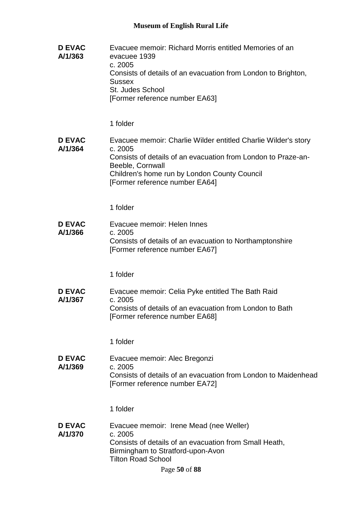| <b>D EVAC</b><br>A/1/363 | Evacuee memoir: Richard Morris entitled Memories of an<br>evacuee 1939<br>c. 2005<br>Consists of details of an evacuation from London to Brighton,<br><b>Sussex</b><br><b>St. Judes School</b><br>[Former reference number EA63]                 |
|--------------------------|--------------------------------------------------------------------------------------------------------------------------------------------------------------------------------------------------------------------------------------------------|
|                          | 1 folder                                                                                                                                                                                                                                         |
| <b>D EVAC</b><br>A/1/364 | Evacuee memoir: Charlie Wilder entitled Charlie Wilder's story<br>c. 2005<br>Consists of details of an evacuation from London to Praze-an-<br>Beeble, Cornwall<br>Children's home run by London County Council<br>[Former reference number EA64] |
|                          | 1 folder                                                                                                                                                                                                                                         |
| <b>D EVAC</b><br>A/1/366 | Evacuee memoir: Helen Innes<br>c. 2005<br>Consists of details of an evacuation to Northamptonshire<br>[Former reference number EA67]                                                                                                             |
|                          | 1 folder                                                                                                                                                                                                                                         |
| <b>D EVAC</b><br>A/1/367 | Evacuee memoir: Celia Pyke entitled The Bath Raid<br>c. 2005<br>Consists of details of an evacuation from London to Bath<br>[Former reference number EA68]                                                                                       |
|                          | 1 folder                                                                                                                                                                                                                                         |
| <b>D EVAC</b><br>A/1/369 | Evacuee memoir: Alec Bregonzi<br>c. 2005<br>Consists of details of an evacuation from London to Maidenhead<br>[Former reference number EA72]                                                                                                     |
|                          | 1 folder                                                                                                                                                                                                                                         |
| <b>D EVAC</b><br>A/1/370 | Evacuee memoir: Irene Mead (nee Weller)<br>c. 2005<br>Consists of details of an evacuation from Small Heath,<br>Birmingham to Stratford-upon-Avon<br><b>Tilton Road School</b><br>Page 50 of 88                                                  |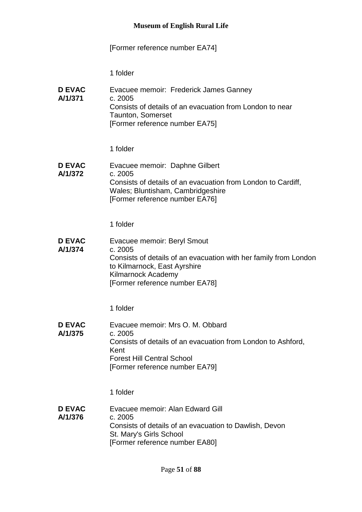# [Former reference number EA74]

| <b>D EVAC</b><br>A/1/371 | Evacuee memoir: Frederick James Ganney<br>c. 2005<br>Consists of details of an evacuation from London to near<br><b>Taunton, Somerset</b><br>[Former reference number EA75]                        |
|--------------------------|----------------------------------------------------------------------------------------------------------------------------------------------------------------------------------------------------|
|                          | 1 folder                                                                                                                                                                                           |
| <b>D EVAC</b><br>A/1/372 | Evacuee memoir: Daphne Gilbert<br>c. 2005<br>Consists of details of an evacuation from London to Cardiff,<br>Wales; Bluntisham, Cambridgeshire<br>[Former reference number EA76]                   |
|                          | 1 folder                                                                                                                                                                                           |
| <b>D EVAC</b><br>A/1/374 | Evacuee memoir: Beryl Smout<br>c. 2005<br>Consists of details of an evacuation with her family from London<br>to Kilmarnock, East Ayrshire<br>Kilmarnock Academy<br>[Former reference number EA78] |
|                          | 1 folder                                                                                                                                                                                           |
| <b>D EVAC</b><br>A/1/375 | Evacuee memoir: Mrs O. M. Obbard<br>c. 2005<br>Consists of details of an evacuation from London to Ashford,<br>Kent<br><b>Forest Hill Central School</b><br>[Former reference number EA79]         |
|                          | 1 folder                                                                                                                                                                                           |
| <b>D EVAC</b><br>A/1/376 | Evacuee memoir: Alan Edward Gill<br>c. 2005<br>Consists of details of an evacuation to Dawlish, Devon<br>St. Mary's Girls School<br>[Former reference number EA80]                                 |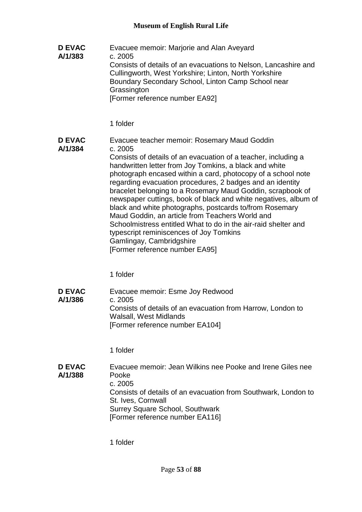**D EVAC A/1/383** Evacuee memoir: Marjorie and Alan Aveyard c. 2005 Consists of details of an evacuations to Nelson, Lancashire and Cullingworth, West Yorkshire; Linton, North Yorkshire Boundary Secondary School, Linton Camp School near **Grassington** [Former reference number EA92]

1 folder

**D EVAC A/1/384** Evacuee teacher memoir: Rosemary Maud Goddin c. 2005 Consists of details of an evacuation of a teacher, including a handwritten letter from Joy Tomkins, a black and white photograph encased within a card, photocopy of a school note regarding evacuation procedures, 2 badges and an identity bracelet belonging to a Rosemary Maud Goddin, scrapbook of newspaper cuttings, book of black and white negatives, album of black and white photographs, postcards to/from Rosemary Maud Goddin, an article from Teachers World and Schoolmistress entitled What to do in the air-raid shelter and typescript reminiscences of Joy Tomkins Gamlingay, Cambridgshire [Former reference number EA95]

1 folder

**D EVAC A/1/386** Evacuee memoir: Esme Joy Redwood c. 2005 Consists of details of an evacuation from Harrow, London to Walsall, West Midlands [Former reference number EA104]

1 folder

**D EVAC A/1/388** Evacuee memoir: Jean Wilkins nee Pooke and Irene Giles nee Pooke c. 2005 Consists of details of an evacuation from Southwark, London to St. Ives, Cornwall Surrey Square School, Southwark [Former reference number EA116]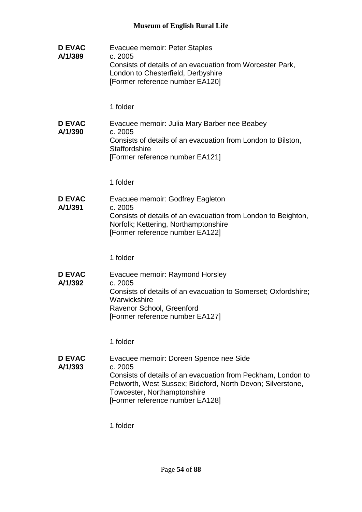**D EVAC A/1/389** Evacuee memoir: Peter Staples c. 2005 Consists of details of an evacuation from Worcester Park, London to Chesterfield, Derbyshire [Former reference number EA120] 1 folder **D EVAC A/1/390** Evacuee memoir: Julia Mary Barber nee Beabey c. 2005 Consists of details of an evacuation from London to Bilston, **Staffordshire** [Former reference number EA121] 1 folder **D EVAC A/1/391** Evacuee memoir: Godfrey Eagleton c. 2005 Consists of details of an evacuation from London to Beighton, Norfolk; Kettering, Northamptonshire [Former reference number EA122] 1 folder **D EVAC A/1/392** Evacuee memoir: Raymond Horsley c. 2005 Consists of details of an evacuation to Somerset; Oxfordshire; **Warwickshire** Ravenor School, Greenford [Former reference number EA127] 1 folder **D EVAC A/1/393** Evacuee memoir: Doreen Spence nee Side c. 2005 Consists of details of an evacuation from Peckham, London to Petworth, West Sussex; Bideford, North Devon; Silverstone, Towcester, Northamptonshire [Former reference number EA128]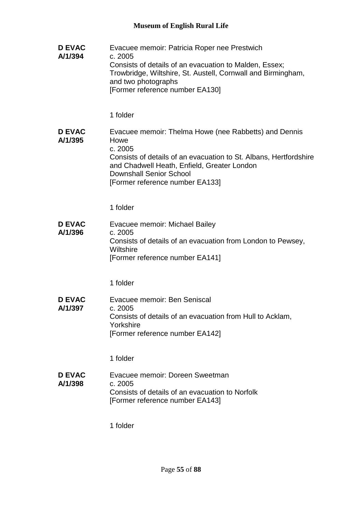| <b>D EVAC</b><br>A/1/394 | Evacuee memoir: Patricia Roper nee Prestwich<br>c. 2005<br>Consists of details of an evacuation to Malden, Essex;<br>Trowbridge, Wiltshire, St. Austell, Cornwall and Birmingham,<br>and two photographs<br>[Former reference number EA130]                       |
|--------------------------|-------------------------------------------------------------------------------------------------------------------------------------------------------------------------------------------------------------------------------------------------------------------|
|                          | 1 folder                                                                                                                                                                                                                                                          |
| <b>D EVAC</b><br>A/1/395 | Evacuee memoir: Thelma Howe (nee Rabbetts) and Dennis<br>Howe<br>c. 2005<br>Consists of details of an evacuation to St. Albans, Hertfordshire<br>and Chadwell Heath, Enfield, Greater London<br><b>Downshall Senior School</b><br>[Former reference number EA133] |
|                          | 1 folder                                                                                                                                                                                                                                                          |
| <b>D EVAC</b><br>A/1/396 | Evacuee memoir: Michael Bailey<br>c. 2005<br>Consists of details of an evacuation from London to Pewsey,<br>Wiltshire<br>[Former reference number EA141]                                                                                                          |
|                          | 1 folder                                                                                                                                                                                                                                                          |
| <b>D EVAC</b><br>A/1/397 | Evacuee memoir: Ben Seniscal<br>c. 2005<br>Consists of details of an evacuation from Hull to Acklam,<br>Yorkshire<br>[Former reference number EA142]                                                                                                              |
|                          | 1 folder                                                                                                                                                                                                                                                          |
| <b>D EVAC</b><br>A/1/398 | Evacuee memoir: Doreen Sweetman<br>c. 2005<br>Consists of details of an evacuation to Norfolk<br>[Former reference number EA143]                                                                                                                                  |
|                          | 1 folder                                                                                                                                                                                                                                                          |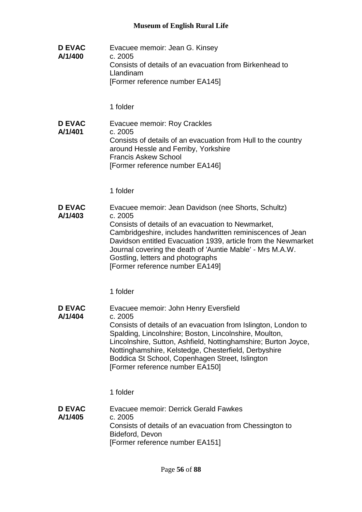**D EVAC A/1/400** Evacuee memoir: Jean G. Kinsey c. 2005 Consists of details of an evacuation from Birkenhead to Llandinam [Former reference number EA145]

1 folder

**D EVAC A/1/401** Evacuee memoir: Roy Crackles c. 2005 Consists of details of an evacuation from Hull to the country around Hessle and Ferriby, Yorkshire Francis Askew School [Former reference number EA146]

1 folder

#### **D EVAC A/1/403** Evacuee memoir: Jean Davidson (nee Shorts, Schultz) c. 2005 Consists of details of an evacuation to Newmarket, Cambridgeshire, includes handwritten reminiscences of Jean Davidson entitled Evacuation 1939, article from the Newmarket Journal covering the death of 'Auntie Mable' - Mrs M.A.W. Gostling, letters and photographs [Former reference number EA149]

1 folder

**D EVAC A/1/404** Evacuee memoir: John Henry Eversfield c. 2005 Consists of details of an evacuation from Islington, London to Spalding, Lincolnshire; Boston, Lincolnshire, Moulton, Lincolnshire, Sutton, Ashfield, Nottinghamshire; Burton Joyce, Nottinghamshire, Kelstedge, Chesterfield, Derbyshire Boddica St School, Copenhagen Street, Islington [Former reference number EA150]

1 folder

**D EVAC A/1/405** Evacuee memoir: Derrick Gerald Fawkes c. 2005 Consists of details of an evacuation from Chessington to Bideford, Devon [Former reference number EA151]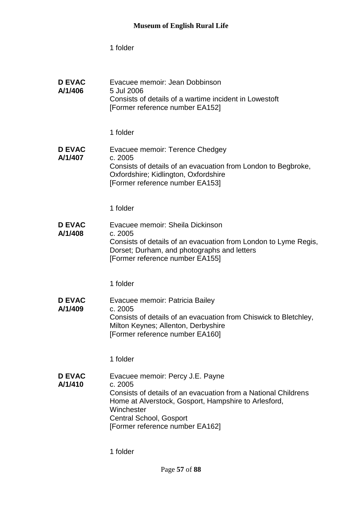| <b>D EVAC</b><br>A/1/406 | Evacuee memoir: Jean Dobbinson<br>5 Jul 2006<br>Consists of details of a wartime incident in Lowestoft<br>[Former reference number EA152]                                                                                                         |
|--------------------------|---------------------------------------------------------------------------------------------------------------------------------------------------------------------------------------------------------------------------------------------------|
|                          | 1 folder                                                                                                                                                                                                                                          |
| <b>D EVAC</b><br>A/1/407 | Evacuee memoir: Terence Chedgey<br>c. 2005<br>Consists of details of an evacuation from London to Begbroke,<br>Oxfordshire; Kidlington, Oxfordshire<br>[Former reference number EA153]                                                            |
|                          | 1 folder                                                                                                                                                                                                                                          |
| <b>D EVAC</b><br>A/1/408 | Evacuee memoir: Sheila Dickinson<br>c. 2005<br>Consists of details of an evacuation from London to Lyme Regis,<br>Dorset; Durham, and photographs and letters<br>[Former reference number EA155]                                                  |
|                          | 1 folder                                                                                                                                                                                                                                          |
| <b>D EVAC</b><br>A/1/409 | Evacuee memoir: Patricia Bailey<br>c. 2005<br>Consists of details of an evacuation from Chiswick to Bletchley,<br>Milton Keynes; Allenton, Derbyshire<br>[Former reference number EA160]                                                          |
|                          | 1 folder                                                                                                                                                                                                                                          |
| <b>D EVAC</b><br>A/1/410 | Evacuee memoir: Percy J.E. Payne<br>c. 2005<br>Consists of details of an evacuation from a National Childrens<br>Home at Alverstock, Gosport, Hampshire to Arlesford,<br>Winchester<br>Central School, Gosport<br>[Former reference number EA162] |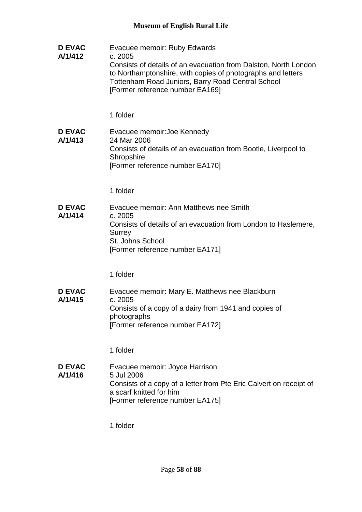**D EVAC A/1/412** Evacuee memoir: Ruby Edwards c. 2005 Consists of details of an evacuation from Dalston, North London to Northamptonshire, with copies of photographs and letters Tottenham Road Juniors, Barry Road Central School [Former reference number EA169] 1 folder **D EVAC A/1/413** Evacuee memoir:Joe Kennedy 24 Mar 2006 Consists of details of an evacuation from Bootle, Liverpool to **Shropshire** [Former reference number EA170] 1 folder **D EVAC A/1/414** Evacuee memoir: Ann Matthews nee Smith c. 2005 Consists of details of an evacuation from London to Haslemere, **Surrey** St. Johns School [Former reference number EA171] 1 folder **D EVAC A/1/415** Evacuee memoir: Mary E. Matthews nee Blackburn c. 2005 Consists of a copy of a dairy from 1941 and copies of photographs [Former reference number EA172] 1 folder **D EVAC A/1/416** Evacuee memoir: Joyce Harrison 5 Jul 2006 Consists of a copy of a letter from Pte Eric Calvert on receipt of a scarf knitted for him [Former reference number EA175]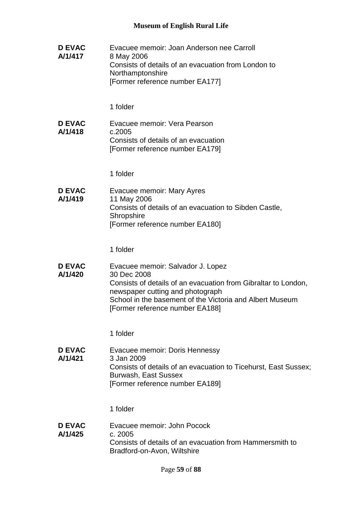| <b>D EVAC</b><br>A/1/417 | Evacuee memoir: Joan Anderson nee Carroll<br>8 May 2006<br>Consists of details of an evacuation from London to<br>Northamptonshire<br>[Former reference number EA177]                                                                                 |
|--------------------------|-------------------------------------------------------------------------------------------------------------------------------------------------------------------------------------------------------------------------------------------------------|
|                          | 1 folder                                                                                                                                                                                                                                              |
| <b>D EVAC</b><br>A/1/418 | Evacuee memoir: Vera Pearson<br>c.2005<br>Consists of details of an evacuation<br>[Former reference number EA179]                                                                                                                                     |
|                          | 1 folder                                                                                                                                                                                                                                              |
| <b>D EVAC</b><br>A/1/419 | Evacuee memoir: Mary Ayres<br>11 May 2006                                                                                                                                                                                                             |
|                          | Consists of details of an evacuation to Sibden Castle,<br>Shropshire<br>[Former reference number EA180]                                                                                                                                               |
|                          | 1 folder                                                                                                                                                                                                                                              |
| <b>D EVAC</b><br>A/1/420 | Evacuee memoir: Salvador J. Lopez<br>30 Dec 2008<br>Consists of details of an evacuation from Gibraltar to London,<br>newspaper cutting and photograph<br>School in the basement of the Victoria and Albert Museum<br>[Former reference number EA188] |
|                          | 1 folder                                                                                                                                                                                                                                              |
| <b>D EVAC</b><br>A/1/421 | Evacuee memoir: Doris Hennessy<br>3 Jan 2009<br>Consists of details of an evacuation to Ticehurst, East Sussex;<br>Burwash, East Sussex<br>[Former reference number EA189]                                                                            |
|                          | 1 folder                                                                                                                                                                                                                                              |
| <b>D EVAC</b><br>A/1/425 | Evacuee memoir: John Pocock<br>c. 2005<br>Consists of details of an evacuation from Hammersmith to<br>Bradford-on-Avon, Wiltshire                                                                                                                     |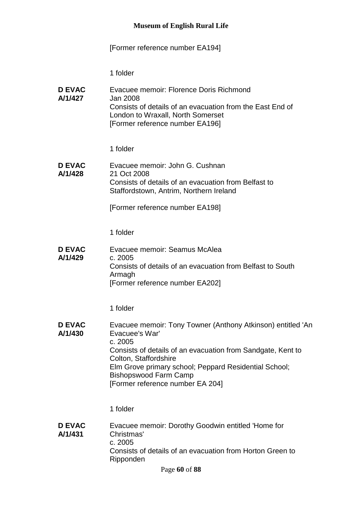# [Former reference number EA194]

| <b>D EVAC</b><br>A/1/427 | Evacuee memoir: Florence Doris Richmond<br>Jan 2008<br>Consists of details of an evacuation from the East End of<br>London to Wraxall, North Somerset<br>[Former reference number EA196]                                                                                                                      |
|--------------------------|---------------------------------------------------------------------------------------------------------------------------------------------------------------------------------------------------------------------------------------------------------------------------------------------------------------|
|                          | 1 folder                                                                                                                                                                                                                                                                                                      |
| <b>D EVAC</b><br>A/1/428 | Evacuee memoir: John G. Cushnan<br>21 Oct 2008<br>Consists of details of an evacuation from Belfast to<br>Staffordstown, Antrim, Northern Ireland                                                                                                                                                             |
|                          | [Former reference number EA198]                                                                                                                                                                                                                                                                               |
|                          | 1 folder                                                                                                                                                                                                                                                                                                      |
| <b>D EVAC</b><br>A/1/429 | Evacuee memoir: Seamus McAlea<br>c. 2005<br>Consists of details of an evacuation from Belfast to South<br>Armagh<br>[Former reference number EA202]                                                                                                                                                           |
|                          | 1 folder                                                                                                                                                                                                                                                                                                      |
| <b>D EVAC</b><br>A/1/430 | Evacuee memoir: Tony Towner (Anthony Atkinson) entitled 'An<br>Evacuee's War'<br>c. 2005<br>Consists of details of an evacuation from Sandgate, Kent to<br>Colton, Staffordshire<br>Elm Grove primary school; Peppard Residential School;<br><b>Bishopswood Farm Camp</b><br>[Former reference number EA 204] |
|                          | 1 folder                                                                                                                                                                                                                                                                                                      |
| <b>D EVAC</b><br>A/1/431 | Evacuee memoir: Dorothy Goodwin entitled 'Home for<br>Christmas'<br>c. 2005<br>Consists of details of an evacuation from Horton Green to<br>Ripponden<br>Page 60 of 88                                                                                                                                        |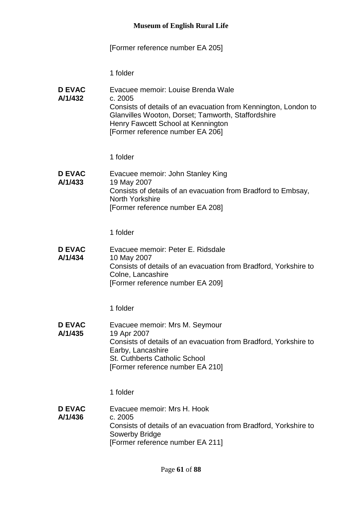# [Former reference number EA 205]

| <b>D EVAC</b><br>A/1/432 | Evacuee memoir: Louise Brenda Wale<br>c. 2005<br>Consists of details of an evacuation from Kennington, London to<br>Glanvilles Wooton, Dorset; Tamworth, Staffordshire<br>Henry Fawcett School at Kennington<br>[Former reference number EA 206]<br>1 folder |
|--------------------------|--------------------------------------------------------------------------------------------------------------------------------------------------------------------------------------------------------------------------------------------------------------|
| <b>D EVAC</b>            | Evacuee memoir: John Stanley King                                                                                                                                                                                                                            |
| A/1/433                  | 19 May 2007<br>Consists of details of an evacuation from Bradford to Embsay,<br>North Yorkshire<br>[Former reference number EA 208]                                                                                                                          |
|                          | 1 folder                                                                                                                                                                                                                                                     |
| <b>D EVAC</b><br>A/1/434 | Evacuee memoir: Peter E. Ridsdale<br>10 May 2007<br>Consists of details of an evacuation from Bradford, Yorkshire to<br>Colne, Lancashire<br>[Former reference number EA 209]                                                                                |
|                          | 1 folder                                                                                                                                                                                                                                                     |
| <b>D EVAC</b><br>A/1/435 | Evacuee memoir: Mrs M. Seymour<br>19 Apr 2007<br>Consists of details of an evacuation from Bradford, Yorkshire to<br>Earby, Lancashire<br>St. Cuthberts Catholic School<br>[Former reference number EA 210]                                                  |
|                          | 1 folder                                                                                                                                                                                                                                                     |
| <b>D EVAC</b><br>A/1/436 | Evacuee memoir: Mrs H. Hook<br>c. 2005<br>Consists of details of an evacuation from Bradford, Yorkshire to<br><b>Sowerby Bridge</b><br>[Former reference number EA 211]                                                                                      |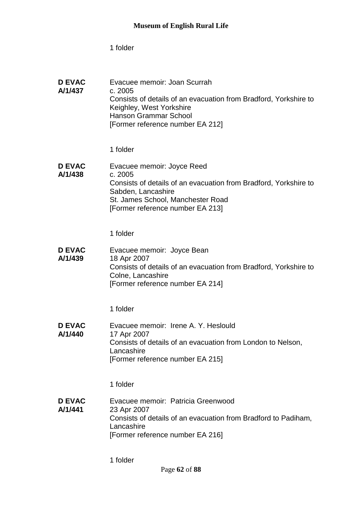| <b>D EVAC</b><br>A/1/437 | Evacuee memoir: Joan Scurrah<br>c. 2005<br>Consists of details of an evacuation from Bradford, Yorkshire to<br>Keighley, West Yorkshire<br><b>Hanson Grammar School</b><br>[Former reference number EA 212] |
|--------------------------|-------------------------------------------------------------------------------------------------------------------------------------------------------------------------------------------------------------|
|                          | 1 folder                                                                                                                                                                                                    |
| <b>D EVAC</b><br>A/1/438 | Evacuee memoir: Joyce Reed<br>c. 2005<br>Consists of details of an evacuation from Bradford, Yorkshire to<br>Sabden, Lancashire<br>St. James School, Manchester Road<br>[Former reference number EA 213]    |
|                          | 1 folder                                                                                                                                                                                                    |
| <b>D EVAC</b><br>A/1/439 | Evacuee memoir: Joyce Bean<br>18 Apr 2007<br>Consists of details of an evacuation from Bradford, Yorkshire to<br>Colne, Lancashire<br>[Former reference number EA 214]                                      |
|                          | 1 folder                                                                                                                                                                                                    |
| <b>D EVAC</b><br>A/1/440 | Evacuee memoir: Irene A. Y. Heslould<br>17 Apr 2007<br>Consists of details of an evacuation from London to Nelson,<br>Lancashire<br>[Former reference number EA 215]                                        |
|                          | 1 folder                                                                                                                                                                                                    |
| <b>D EVAC</b><br>A/1/441 | Evacuee memoir: Patricia Greenwood<br>23 Apr 2007<br>Consists of details of an evacuation from Bradford to Padiham,<br>Lancashire<br>[Former reference number EA 216]                                       |
|                          | 1 folder                                                                                                                                                                                                    |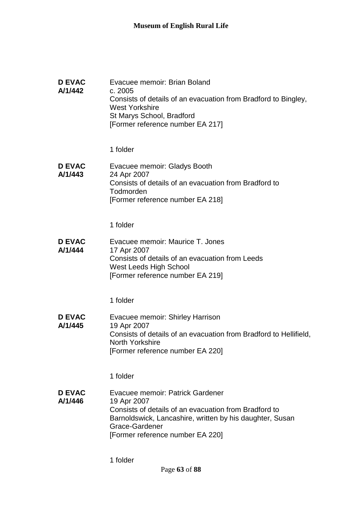| <b>D EVAC</b><br>A/1/442 | Evacuee memoir: Brian Boland<br>c. 2005<br>Consists of details of an evacuation from Bradford to Bingley,<br><b>West Yorkshire</b><br>St Marys School, Bradford<br>[Former reference number EA 217]<br>1 folder            |
|--------------------------|----------------------------------------------------------------------------------------------------------------------------------------------------------------------------------------------------------------------------|
| <b>D EVAC</b><br>A/1/443 | Evacuee memoir: Gladys Booth<br>24 Apr 2007<br>Consists of details of an evacuation from Bradford to                                                                                                                       |
|                          | Todmorden<br>[Former reference number EA 218]                                                                                                                                                                              |
|                          | 1 folder                                                                                                                                                                                                                   |
| <b>D EVAC</b><br>A/1/444 | Evacuee memoir: Maurice T. Jones<br>17 Apr 2007<br>Consists of details of an evacuation from Leeds<br>West Leeds High School<br>[Former reference number EA 219]                                                           |
|                          | 1 folder                                                                                                                                                                                                                   |
| <b>D EVAC</b><br>A/1/445 | Evacuee memoir: Shirley Harrison<br>19 Apr 2007<br>Consists of details of an evacuation from Bradford to Hellifield,<br><b>North Yorkshire</b><br>[Former reference number EA 220]                                         |
|                          | 1 folder                                                                                                                                                                                                                   |
| <b>D EVAC</b><br>A/1/446 | Evacuee memoir: Patrick Gardener<br>19 Apr 2007<br>Consists of details of an evacuation from Bradford to<br>Barnoldswick, Lancashire, written by his daughter, Susan<br>Grace-Gardener<br>[Former reference number EA 220] |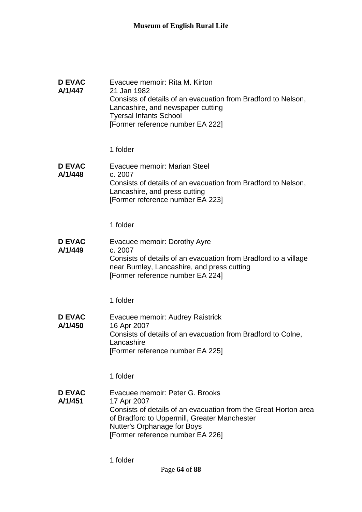| <b>D EVAC</b><br>A/1/447 | Evacuee memoir: Rita M. Kirton<br>21 Jan 1982<br>Consists of details of an evacuation from Bradford to Nelson,<br>Lancashire, and newspaper cutting<br><b>Tyersal Infants School</b><br>[Former reference number EA 222]             |
|--------------------------|--------------------------------------------------------------------------------------------------------------------------------------------------------------------------------------------------------------------------------------|
|                          | 1 folder                                                                                                                                                                                                                             |
| <b>D EVAC</b><br>A/1/448 | Evacuee memoir: Marian Steel<br>c. 2007<br>Consists of details of an evacuation from Bradford to Nelson,<br>Lancashire, and press cutting<br>[Former reference number EA 223]                                                        |
|                          | 1 folder                                                                                                                                                                                                                             |
| <b>D EVAC</b><br>A/1/449 | Evacuee memoir: Dorothy Ayre<br>c. 2007<br>Consists of details of an evacuation from Bradford to a village<br>near Burnley, Lancashire, and press cutting<br>[Former reference number EA 224]                                        |
|                          | 1 folder                                                                                                                                                                                                                             |
| <b>D EVAC</b><br>A/1/450 | Evacuee memoir: Audrey Raistrick<br>16 Apr 2007<br>Consists of details of an evacuation from Bradford to Colne,<br>Lancashire<br>[Former reference number EA 225]                                                                    |
|                          | 1 folder                                                                                                                                                                                                                             |
| <b>D EVAC</b><br>A/1/451 | Evacuee memoir: Peter G. Brooks<br>17 Apr 2007<br>Consists of details of an evacuation from the Great Horton area<br>of Bradford to Uppermill, Greater Manchester<br>Nutter's Orphanage for Boys<br>[Former reference number EA 226] |
|                          | 1 folder                                                                                                                                                                                                                             |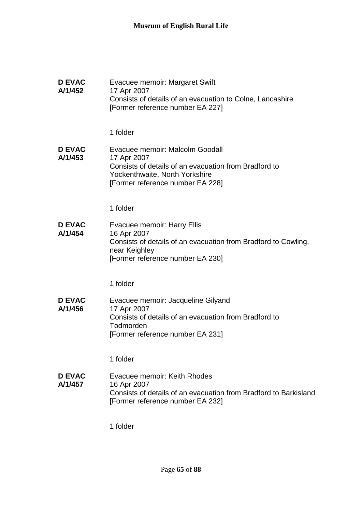| <b>D EVAC</b><br>A/1/452 | Evacuee memoir: Margaret Swift<br>17 Apr 2007<br>Consists of details of an evacuation to Colne, Lancashire<br>[Former reference number EA 227]                                |
|--------------------------|-------------------------------------------------------------------------------------------------------------------------------------------------------------------------------|
|                          | 1 folder                                                                                                                                                                      |
| <b>D EVAC</b><br>A/1/453 | Evacuee memoir: Malcolm Goodall<br>17 Apr 2007<br>Consists of details of an evacuation from Bradford to<br>Yockenthwaite, North Yorkshire<br>[Former reference number EA 228] |
|                          | 1 folder                                                                                                                                                                      |
| <b>D EVAC</b><br>A/1/454 | Evacuee memoir: Harry Ellis<br>16 Apr 2007<br>Consists of details of an evacuation from Bradford to Cowling,<br>near Keighley<br>[Former reference number EA 230]             |
|                          | 1 folder                                                                                                                                                                      |
| <b>D EVAC</b><br>A/1/456 | Evacuee memoir: Jacqueline Gilyand<br>17 Apr 2007<br>Consists of details of an evacuation from Bradford to<br>Todmorden<br>[Former reference number EA 231]                   |
|                          | 1 folder                                                                                                                                                                      |
| <b>D EVAC</b><br>A/1/457 | Evacuee memoir: Keith Rhodes<br>16 Apr 2007<br>Consists of details of an evacuation from Bradford to Barkisland<br>[Former reference number EA 232]                           |
|                          | 1 folder                                                                                                                                                                      |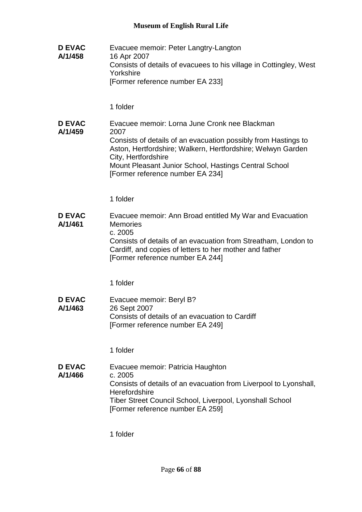**D EVAC A/1/458** Evacuee memoir: Peter Langtry-Langton 16 Apr 2007 Consists of details of evacuees to his village in Cottingley, West Yorkshire [Former reference number EA 233] 1 folder **D EVAC A/1/459** Evacuee memoir: Lorna June Cronk nee Blackman 2007 Consists of details of an evacuation possibly from Hastings to Aston, Hertfordshire; Walkern, Hertfordshire; Welwyn Garden City, Hertfordshire Mount Pleasant Junior School, Hastings Central School [Former reference number EA 234] 1 folder **D EVAC A/1/461** Evacuee memoir: Ann Broad entitled My War and Evacuation **Memories** c. 2005 Consists of details of an evacuation from Streatham, London to Cardiff, and copies of letters to her mother and father [Former reference number EA 244] 1 folder **D EVAC A/1/463** Evacuee memoir: Beryl B? 26 Sept 2007 Consists of details of an evacuation to Cardiff [Former reference number EA 249] 1 folder **D EVAC A/1/466** Evacuee memoir: Patricia Haughton c. 2005 Consists of details of an evacuation from Liverpool to Lyonshall, **Herefordshire** Tiber Street Council School, Liverpool, Lyonshall School [Former reference number EA 259]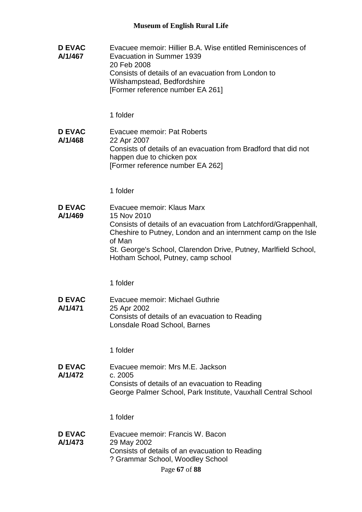**D EVAC A/1/467** Evacuee memoir: Hillier B.A. Wise entitled Reminiscences of Evacuation in Summer 1939 20 Feb 2008 Consists of details of an evacuation from London to Wilshampstead, Bedfordshire [Former reference number EA 261] 1 folder **D EVAC A/1/468** Evacuee memoir: Pat Roberts 22 Apr 2007 Consists of details of an evacuation from Bradford that did not happen due to chicken pox [Former reference number EA 262] 1 folder **D EVAC A/1/469** Evacuee memoir: Klaus Marx 15 Nov 2010 Consists of details of an evacuation from Latchford/Grappenhall, Cheshire to Putney, London and an internment camp on the Isle of Man St. George's School, Clarendon Drive, Putney, Marlfield School, Hotham School, Putney, camp school 1 folder **D EVAC A/1/471** Evacuee memoir: Michael Guthrie 25 Apr 2002 Consists of details of an evacuation to Reading Lonsdale Road School, Barnes 1 folder **D EVAC A/1/472** Evacuee memoir: Mrs M.E. Jackson c. 2005 Consists of details of an evacuation to Reading George Palmer School, Park Institute, Vauxhall Central School 1 folder **D EVAC A/1/473** Evacuee memoir: Francis W. Bacon 29 May 2002 Consists of details of an evacuation to Reading ? Grammar School, Woodley School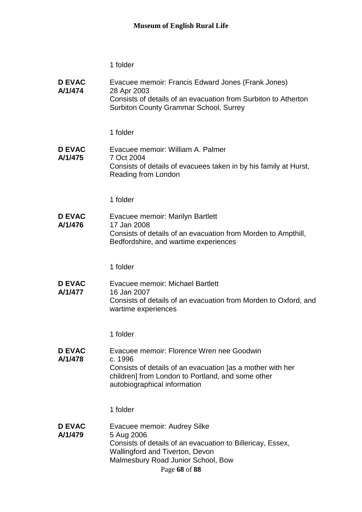| <b>D EVAC</b><br>A/1/474 | Evacuee memoir: Francis Edward Jones (Frank Jones)<br>28 Apr 2003<br>Consists of details of an evacuation from Surbiton to Atherton<br><b>Surbiton County Grammar School, Surrey</b>                    |
|--------------------------|---------------------------------------------------------------------------------------------------------------------------------------------------------------------------------------------------------|
|                          | 1 folder                                                                                                                                                                                                |
| <b>D EVAC</b><br>A/1/475 | Evacuee memoir: William A. Palmer<br>7 Oct 2004<br>Consists of details of evacuees taken in by his family at Hurst,<br>Reading from London                                                              |
|                          | 1 folder                                                                                                                                                                                                |
| <b>D EVAC</b><br>A/1/476 | Evacuee memoir: Marilyn Bartlett<br>17 Jan 2008<br>Consists of details of an evacuation from Morden to Ampthill,<br>Bedfordshire, and wartime experiences                                               |
|                          | 1 folder                                                                                                                                                                                                |
| <b>D EVAC</b><br>A/1/477 | <b>Evacuee memoir: Michael Bartlett</b><br>16 Jan 2007<br>Consists of details of an evacuation from Morden to Oxford, and<br>wartime experiences                                                        |
|                          | 1 folder                                                                                                                                                                                                |
| <b>D EVAC</b><br>A/1/478 | Evacuee memoir: Florence Wren nee Goodwin<br>c. 1996<br>Consists of details of an evacuation [as a mother with her<br>children] from London to Portland, and some other<br>autobiographical information |
|                          | 1 folder                                                                                                                                                                                                |
| <b>D EVAC</b><br>A/1/479 | Evacuee memoir: Audrey Silke<br>5 Aug 2006<br>Consists of details of an evacuation to Billericay, Essex,<br>Wallingford and Tiverton, Devon<br>Malmesbury Road Junior School, Bow<br>Page 68 of 88      |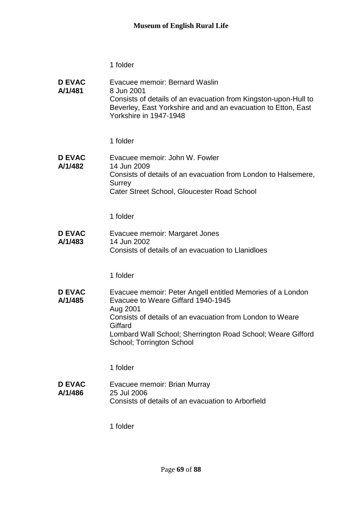| <b>D EVAC</b> | Evacuee memoir: Bernard Waslin                                                          |
|---------------|-----------------------------------------------------------------------------------------|
| A/1/481       | 8 Jun 2001<br>Consists of details of an evacuation from Kingston-upon-Hull to           |
|               | Beverley, East Yorkshire and and an evacuation to Etton, East<br>Yorkshire in 1947-1948 |

1 folder

**D EVAC A/1/482** Evacuee memoir: John W. Fowler 14 Jun 2009 Consists of details of an evacuation from London to Halsemere, **Surrey** Cater Street School, Gloucester Road School

1 folder

**D EVAC A/1/483** Evacuee memoir: Margaret Jones 14 Jun 2002 Consists of details of an evacuation to Llanidloes

1 folder

**D EVAC A/1/485** Evacuee memoir: Peter Angell entitled Memories of a London Evacuee to Weare Giffard 1940-1945 Aug 2001 Consists of details of an evacuation from London to Weare **Giffard** Lombard Wall School; Sherrington Road School; Weare Gifford School; Torrington School

1 folder

**D EVAC A/1/486** Evacuee memoir: Brian Murray 25 Jul 2006 Consists of details of an evacuation to Arborfield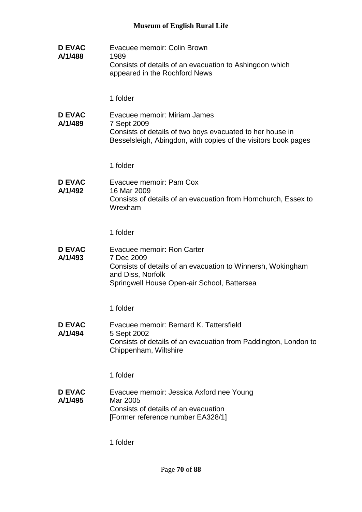| <b>D EVAC</b><br>A/1/488 | Evacuee memoir: Colin Brown<br>1989<br>Consists of details of an evacuation to Ashingdon which<br>appeared in the Rochford News                                             |
|--------------------------|-----------------------------------------------------------------------------------------------------------------------------------------------------------------------------|
|                          | 1 folder                                                                                                                                                                    |
| <b>D EVAC</b><br>A/1/489 | Evacuee memoir: Miriam James<br>7 Sept 2009<br>Consists of details of two boys evacuated to her house in<br>Besselsleigh, Abingdon, with copies of the visitors book pages  |
|                          | 1 folder                                                                                                                                                                    |
| <b>D EVAC</b><br>A/1/492 | Evacuee memoir: Pam Cox<br>16 Mar 2009<br>Consists of details of an evacuation from Hornchurch, Essex to<br>Wrexham                                                         |
|                          | 1 folder                                                                                                                                                                    |
| <b>D EVAC</b><br>A/1/493 | Evacuee memoir: Ron Carter<br>7 Dec 2009<br>Consists of details of an evacuation to Winnersh, Wokingham<br>and Diss, Norfolk<br>Springwell House Open-air School, Battersea |
|                          | 1 folder                                                                                                                                                                    |
| <b>D EVAC</b><br>A/1/494 | Evacuee memoir: Bernard K. Tattersfield<br>5 Sept 2002<br>Consists of details of an evacuation from Paddington, London to<br>Chippenham, Wiltshire                          |
|                          | 1 folder                                                                                                                                                                    |
| <b>D EVAC</b><br>A/1/495 | Evacuee memoir: Jessica Axford nee Young<br>Mar 2005<br>Consists of details of an evacuation<br>[Former reference number EA328/1]                                           |
|                          |                                                                                                                                                                             |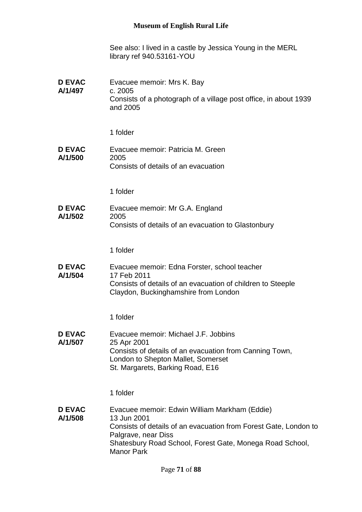See also: I lived in a castle by Jessica Young in the MERL library ref 940.53161-YOU

| <b>D EVAC</b><br>A/1/497 | Evacuee memoir: Mrs K. Bay<br>c. 2005<br>Consists of a photograph of a village post office, in about 1939<br>and 2005                                                                                                                    |
|--------------------------|------------------------------------------------------------------------------------------------------------------------------------------------------------------------------------------------------------------------------------------|
|                          | 1 folder                                                                                                                                                                                                                                 |
| <b>D EVAC</b><br>A/1/500 | Evacuee memoir: Patricia M. Green<br>2005<br>Consists of details of an evacuation                                                                                                                                                        |
|                          | 1 folder                                                                                                                                                                                                                                 |
| <b>D EVAC</b><br>A/1/502 | Evacuee memoir: Mr G.A. England<br>2005<br>Consists of details of an evacuation to Glastonbury                                                                                                                                           |
|                          | 1 folder                                                                                                                                                                                                                                 |
| <b>D EVAC</b><br>A/1/504 | Evacuee memoir: Edna Forster, school teacher<br>17 Feb 2011<br>Consists of details of an evacuation of children to Steeple<br>Claydon, Buckinghamshire from London                                                                       |
|                          | 1 folder                                                                                                                                                                                                                                 |
| <b>D EVAC</b><br>A/1/507 | Evacuee memoir: Michael J.F. Jobbins<br>25 Apr 2001<br>Consists of details of an evacuation from Canning Town,<br>London to Shepton Mallet, Somerset<br>St. Margarets, Barking Road, E16                                                 |
|                          | 1 folder                                                                                                                                                                                                                                 |
| <b>D EVAC</b><br>A/1/508 | Evacuee memoir: Edwin William Markham (Eddie)<br>13 Jun 2001<br>Consists of details of an evacuation from Forest Gate, London to<br>Palgrave, near Diss<br>Shatesbury Road School, Forest Gate, Monega Road School,<br><b>Manor Park</b> |
|                          |                                                                                                                                                                                                                                          |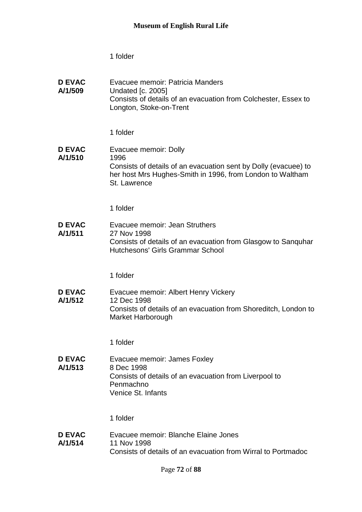| <b>D EVAC</b><br>A/1/509 | Evacuee memoir: Patricia Manders<br><b>Undated [c. 2005]</b><br>Consists of details of an evacuation from Colchester, Essex to<br>Longton, Stoke-on-Trent                     |
|--------------------------|-------------------------------------------------------------------------------------------------------------------------------------------------------------------------------|
|                          | 1 folder                                                                                                                                                                      |
| <b>D EVAC</b><br>A/1/510 | Evacuee memoir: Dolly<br>1996<br>Consists of details of an evacuation sent by Dolly (evacuee) to<br>her host Mrs Hughes-Smith in 1996, from London to Waltham<br>St. Lawrence |
|                          | 1 folder                                                                                                                                                                      |
| <b>D EVAC</b><br>A/1/511 | Evacuee memoir: Jean Struthers<br>27 Nov 1998<br>Consists of details of an evacuation from Glasgow to Sanquhar<br>Hutchesons' Girls Grammar School                            |
|                          | 1 folder                                                                                                                                                                      |
| <b>D EVAC</b><br>A/1/512 | Evacuee memoir: Albert Henry Vickery<br>12 Dec 1998<br>Consists of details of an evacuation from Shoreditch, London to<br>Market Harborough                                   |
|                          | 1 folder                                                                                                                                                                      |
| <b>D EVAC</b><br>A/1/513 | Evacuee memoir: James Foxley<br>8 Dec 1998<br>Consists of details of an evacuation from Liverpool to<br>Penmachno<br>Venice St. Infants                                       |
|                          | 1 folder                                                                                                                                                                      |
| <b>D EVAC</b><br>A/1/514 | Evacuee memoir: Blanche Elaine Jones<br>11 Nov 1998<br>Consists of details of an evacuation from Wirral to Portmadoc                                                          |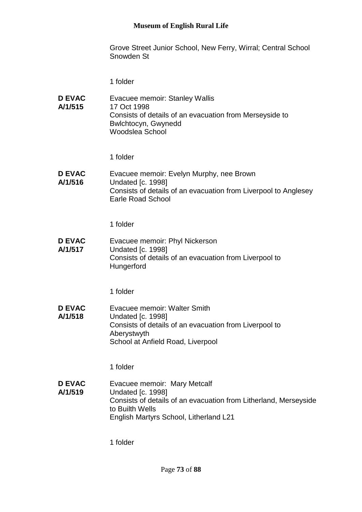Grove Street Junior School, New Ferry, Wirral; Central School Snowden St

1 folder

**D EVAC A/1/515** Evacuee memoir: Stanley Wallis 17 Oct 1998 Consists of details of an evacuation from Merseyside to Bwlchtocyn, Gwynedd Woodslea School

1 folder

**D EVAC A/1/516** Evacuee memoir: Evelyn Murphy, nee Brown Undated [c. 1998] Consists of details of an evacuation from Liverpool to Anglesey Earle Road School

1 folder

**D EVAC A/1/517** Evacuee memoir: Phyl Nickerson Undated [c. 1998] Consists of details of an evacuation from Liverpool to **Hungerford** 

1 folder

**D EVAC A/1/518** Evacuee memoir: Walter Smith Undated [c. 1998] Consists of details of an evacuation from Liverpool to Aberystwyth School at Anfield Road, Liverpool

1 folder

**D EVAC A/1/519** Evacuee memoir: Mary Metcalf Undated [c. 1998] Consists of details of an evacuation from Litherland, Merseyside to Builth Wells English Martyrs School, Litherland L21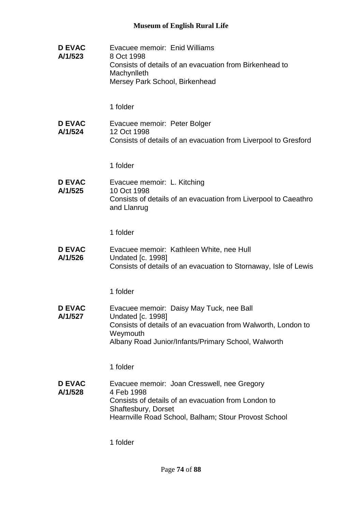| <b>D EVAC</b><br>A/1/523 | Evacuee memoir: Enid Williams<br>8 Oct 1998<br>Consists of details of an evacuation from Birkenhead to<br>Machynlleth<br>Mersey Park School, Birkenhead                                                  |
|--------------------------|----------------------------------------------------------------------------------------------------------------------------------------------------------------------------------------------------------|
|                          | 1 folder                                                                                                                                                                                                 |
| <b>D EVAC</b><br>A/1/524 | Evacuee memoir: Peter Bolger<br>12 Oct 1998<br>Consists of details of an evacuation from Liverpool to Gresford                                                                                           |
|                          | 1 folder                                                                                                                                                                                                 |
| <b>D EVAC</b><br>A/1/525 | Evacuee memoir: L. Kitching<br>10 Oct 1998<br>Consists of details of an evacuation from Liverpool to Caeathro<br>and Llanrug                                                                             |
|                          | 1 folder                                                                                                                                                                                                 |
| <b>D EVAC</b><br>A/1/526 | Evacuee memoir: Kathleen White, nee Hull<br><b>Undated [c. 1998]</b><br>Consists of details of an evacuation to Stornaway, Isle of Lewis                                                                 |
|                          | 1 folder                                                                                                                                                                                                 |
| <b>D EVAC</b><br>A/1/527 | Evacuee memoir: Daisy May Tuck, nee Ball<br><b>Undated [c. 1998]</b><br>Consists of details of an evacuation from Walworth, London to<br>Weymouth<br>Albany Road Junior/Infants/Primary School, Walworth |
|                          | 1 folder                                                                                                                                                                                                 |
| <b>D EVAC</b><br>A/1/528 | Evacuee memoir: Joan Cresswell, nee Gregory<br>4 Feb 1998<br>Consists of details of an evacuation from London to<br>Shaftesbury, Dorset<br>Hearnville Road School, Balham; Stour Provost School          |
|                          | 1 folder                                                                                                                                                                                                 |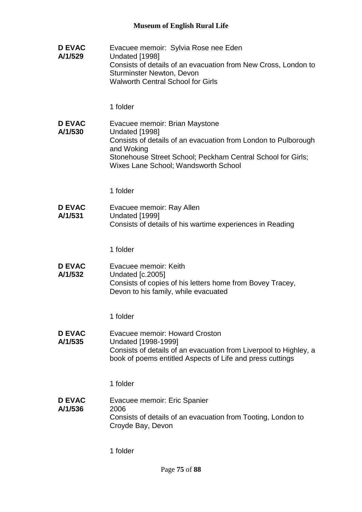| <b>D EVAC</b><br>A/1/529 | Evacuee memoir: Sylvia Rose nee Eden<br>Undated [1998]<br>Consists of details of an evacuation from New Cross, London to<br><b>Sturminster Newton, Devon</b><br><b>Walworth Central School for Girls</b>                                |
|--------------------------|-----------------------------------------------------------------------------------------------------------------------------------------------------------------------------------------------------------------------------------------|
|                          | 1 folder                                                                                                                                                                                                                                |
| <b>D EVAC</b><br>A/1/530 | Evacuee memoir: Brian Maystone<br>Undated [1998]<br>Consists of details of an evacuation from London to Pulborough<br>and Woking<br>Stonehouse Street School; Peckham Central School for Girls;<br>Wixes Lane School; Wandsworth School |
|                          | 1 folder                                                                                                                                                                                                                                |
| <b>D EVAC</b><br>A/1/531 | Evacuee memoir: Ray Allen<br>Undated [1999]<br>Consists of details of his wartime experiences in Reading                                                                                                                                |
|                          | 1 folder                                                                                                                                                                                                                                |
| <b>D EVAC</b><br>A/1/532 | Evacuee memoir: Keith<br><b>Undated [c.2005]</b><br>Consists of copies of his letters home from Bovey Tracey,<br>Devon to his family, while evacuated                                                                                   |
|                          | 1 folder                                                                                                                                                                                                                                |
| <b>D EVAC</b><br>A/1/535 | Evacuee memoir: Howard Croston<br>Undated [1998-1999]<br>Consists of details of an evacuation from Liverpool to Highley, a<br>book of poems entitled Aspects of Life and press cuttings                                                 |
|                          | 1 folder                                                                                                                                                                                                                                |
| <b>D EVAC</b><br>A/1/536 | Evacuee memoir: Eric Spanier<br>2006<br>Consists of details of an evacuation from Tooting, London to<br>Croyde Bay, Devon                                                                                                               |
|                          | 1 folder                                                                                                                                                                                                                                |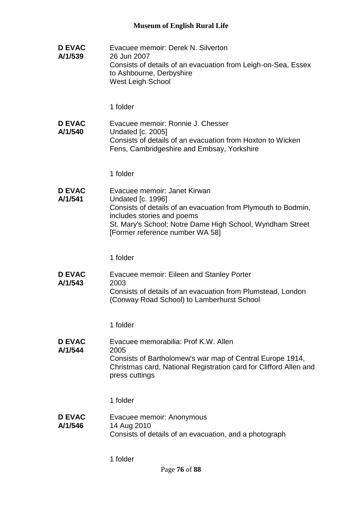**D EVAC A/1/539** Evacuee memoir: Derek N. Silverton 26 Jun 2007 Consists of details of an evacuation from Leigh-on-Sea, Essex to Ashbourne, Derbyshire West Leigh School 1 folder **D EVAC A/1/540** Evacuee memoir: Ronnie J. Chesser Undated [c. 2005] Consists of details of an evacuation from Hoxton to Wicken Fens, Cambridgeshire and Embsay, Yorkshire 1 folder **D EVAC A/1/541** Evacuee memoir: Janet Kirwan Undated [c. 1996] Consists of details of an evacuation from Plymouth to Bodmin, includes stories and poems St. Mary's School; Notre Dame High School, Wyndham Street [Former reference number WA 58] 1 folder **D EVAC A/1/543** Evacuee memoir: Eileen and Stanley Porter 2003 Consists of details of an evacuation from Plumstead, London (Conway Road School) to Lamberhurst School 1 folder **D EVAC A/1/544** Evacuee memorabilia: Prof K.W. Allen 2005 Consists of Bartholomew's war map of Central Europe 1914, Christmas card, National Registration card for Clifford Allen and press cuttings 1 folder **D EVAC A/1/546** Evacuee memoir: Anonymous 14 Aug 2010 Consists of details of an evacuation, and a photograph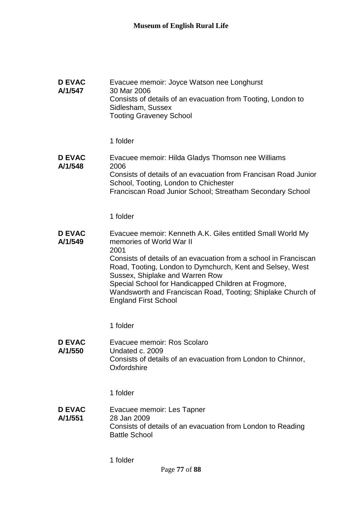| D EVAC<br>A/1/547        | Evacuee memoir: Joyce Watson nee Longhurst<br>30 Mar 2006<br>Consists of details of an evacuation from Tooting, London to<br>Sidlesham, Sussex<br><b>Tooting Graveney School</b>                                                   |
|--------------------------|------------------------------------------------------------------------------------------------------------------------------------------------------------------------------------------------------------------------------------|
|                          | 1 folder                                                                                                                                                                                                                           |
| <b>D EVAC</b><br>A/1/548 | Evacuee memoir: Hilda Gladys Thomson nee Williams<br>2006<br>Consists of details of an evacuation from Francisan Road Junior<br>School, Tooting, London to Chichester<br>Franciscan Road Junior School; Streatham Secondary School |

### **D EVAC A/1/549** Evacuee memoir: Kenneth A.K. Giles entitled Small World My memories of World War II 2001 Consists of details of an evacuation from a school in Franciscan Road, Tooting, London to Dymchurch, Kent and Selsey, West Sussex, Shiplake and Warren Row Special School for Handicapped Children at Frogmore, Wandsworth and Franciscan Road, Tooting; Shiplake Church of England First School

1 folder

**D EVAC A/1/550** Evacuee memoir: Ros Scolaro Undated c. 2009 Consists of details of an evacuation from London to Chinnor, **Oxfordshire** 

1 folder

**D EVAC A/1/551** Evacuee memoir: Les Tapner 28 Jan 2009 Consists of details of an evacuation from London to Reading Battle School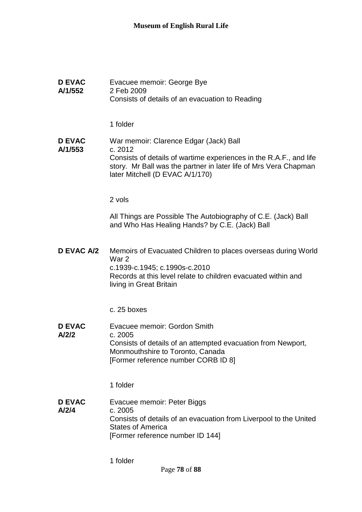| <b>D EVAC</b><br>A/1/552 | Evacuee memoir: George Bye<br>2 Feb 2009<br>Consists of details of an evacuation to Reading                                                                                                                                    |
|--------------------------|--------------------------------------------------------------------------------------------------------------------------------------------------------------------------------------------------------------------------------|
|                          | 1 folder                                                                                                                                                                                                                       |
| <b>D EVAC</b><br>A/1/553 | War memoir: Clarence Edgar (Jack) Ball<br>c. 2012<br>Consists of details of wartime experiences in the R.A.F., and life<br>story. Mr Ball was the partner in later life of Mrs Vera Chapman<br>later Mitchell (D EVAC A/1/170) |
|                          | 2 vols                                                                                                                                                                                                                         |
|                          | All Things are Possible The Autobiography of C.E. (Jack) Ball<br>and Who Has Healing Hands? by C.E. (Jack) Ball                                                                                                                |
| <b>D EVAC A/2</b>        | Memoirs of Evacuated Children to places overseas during World<br>War 2<br>c.1939-c.1945; c.1990s-c.2010<br>Records at this level relate to children evacuated within and<br>living in Great Britain                            |
|                          | c. 25 boxes                                                                                                                                                                                                                    |
| <b>D EVAC</b><br>A/2/2   | Evacuee memoir: Gordon Smith<br>c. 2005<br>Consists of details of an attempted evacuation from Newport,<br>Monmouthshire to Toronto, Canada<br>[Former reference number CORB ID 8]                                             |
|                          | 1 folder                                                                                                                                                                                                                       |
| <b>D EVAC</b><br>A/2/4   | Evacuee memoir: Peter Biggs<br>c. 2005<br>Consists of details of an evacuation from Liverpool to the United<br><b>States of America</b><br>[Former reference number ID 144]                                                    |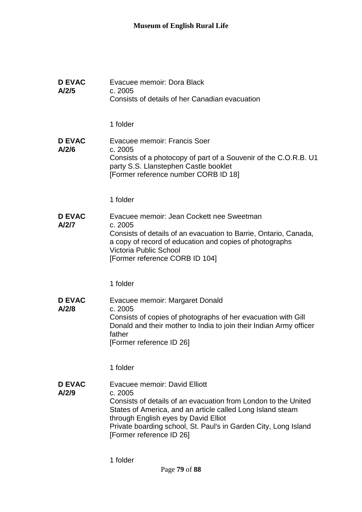| <b>D EVAC</b><br>A/2/5 | Evacuee memoir: Dora Black<br>c. 2005<br>Consists of details of her Canadian evacuation                                                                                                                                                                                                                         |
|------------------------|-----------------------------------------------------------------------------------------------------------------------------------------------------------------------------------------------------------------------------------------------------------------------------------------------------------------|
|                        | 1 folder                                                                                                                                                                                                                                                                                                        |
| <b>D EVAC</b><br>A/2/6 | Evacuee memoir: Francis Soer<br>c. 2005<br>Consists of a photocopy of part of a Souvenir of the C.O.R.B. U1<br>party S.S. Llanstephen Castle booklet<br>[Former reference number CORB ID 18]                                                                                                                    |
|                        | 1 folder                                                                                                                                                                                                                                                                                                        |
| <b>D EVAC</b><br>A/2/7 | Evacuee memoir: Jean Cockett nee Sweetman<br>c. 2005<br>Consists of details of an evacuation to Barrie, Ontario, Canada,<br>a copy of record of education and copies of photographs<br><b>Victoria Public School</b><br>[Former reference CORB ID 104]                                                          |
|                        | 1 folder                                                                                                                                                                                                                                                                                                        |
| <b>D EVAC</b><br>A/2/8 | Evacuee memoir: Margaret Donald<br>c. 2005<br>Consists of copies of photographs of her evacuation with Gill<br>Donald and their mother to India to join their Indian Army officer<br>father<br>[Former reference ID 26]                                                                                         |
|                        | 1 folder                                                                                                                                                                                                                                                                                                        |
| <b>D EVAC</b><br>A/2/9 | Evacuee memoir: David Elliott<br>c. 2005<br>Consists of details of an evacuation from London to the United<br>States of America, and an article called Long Island steam<br>through English eyes by David Elliot<br>Private boarding school, St. Paul's in Garden City, Long Island<br>[Former reference ID 26] |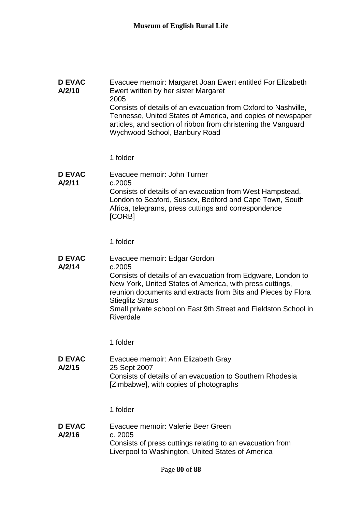| <b>D EVAC</b><br>A/2/10 | Evacuee memoir: Margaret Joan Ewert entitled For Elizabeth<br>Ewert written by her sister Margaret<br>2005<br>Consists of details of an evacuation from Oxford to Nashville,<br>Tennesse, United States of America, and copies of newspaper<br>articles, and section of ribbon from christening the Vanguard<br>Wychwood School, Banbury Road |
|-------------------------|-----------------------------------------------------------------------------------------------------------------------------------------------------------------------------------------------------------------------------------------------------------------------------------------------------------------------------------------------|
|                         | 1 folder                                                                                                                                                                                                                                                                                                                                      |
| <b>D EVAC</b><br>A/2/11 | Evacuee memoir: John Turner<br>c.2005<br>Consists of details of an evacuation from West Hampstead,<br>London to Seaford, Sussex, Bedford and Cape Town, South<br>Africa, telegrams, press cuttings and correspondence<br>[CORB]                                                                                                               |
|                         | 1 folder                                                                                                                                                                                                                                                                                                                                      |
| <b>D EVAC</b><br>A/2/14 | Evacuee memoir: Edgar Gordon<br>c.2005<br>Consists of details of an evacuation from Edgware, London to<br>New York, United States of America, with press cuttings,<br>reunion documents and extracts from Bits and Pieces by Flora<br><b>Stieglitz Straus</b><br>Small private school on East 9th Street and Fieldston School in<br>Riverdale |
|                         | 1 folder                                                                                                                                                                                                                                                                                                                                      |
| <b>D EVAC</b><br>A/2/15 | Evacuee memoir: Ann Elizabeth Gray<br>25 Sept 2007<br>Consists of details of an evacuation to Southern Rhodesia<br>[Zimbabwe], with copies of photographs                                                                                                                                                                                     |
|                         | 1 folder                                                                                                                                                                                                                                                                                                                                      |
| <b>D EVAC</b><br>A/2/16 | Evacuee memoir: Valerie Beer Green<br>c. 2005<br>Consists of press cuttings relating to an evacuation from<br>Liverpool to Washington, United States of America                                                                                                                                                                               |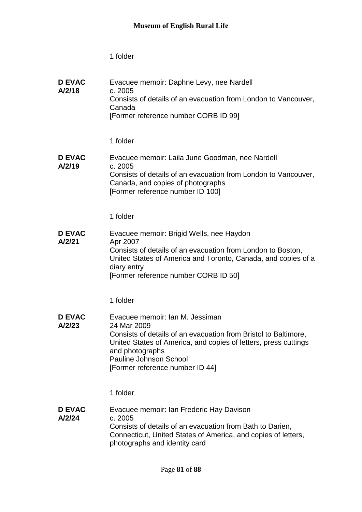| <b>D EVAC</b><br>A/2/18 | Evacuee memoir: Daphne Levy, nee Nardell<br>c. 2005<br>Consists of details of an evacuation from London to Vancouver,<br>Canada<br>[Former reference number CORB ID 99]                                                                                                     |
|-------------------------|-----------------------------------------------------------------------------------------------------------------------------------------------------------------------------------------------------------------------------------------------------------------------------|
|                         | 1 folder                                                                                                                                                                                                                                                                    |
| <b>D EVAC</b><br>A/2/19 | Evacuee memoir: Laila June Goodman, nee Nardell<br>c. 2005<br>Consists of details of an evacuation from London to Vancouver,<br>Canada, and copies of photographs<br>[Former reference number ID 100]                                                                       |
|                         | 1 folder                                                                                                                                                                                                                                                                    |
| <b>D EVAC</b><br>A/2/21 | Evacuee memoir: Brigid Wells, nee Haydon<br>Apr 2007<br>Consists of details of an evacuation from London to Boston,<br>United States of America and Toronto, Canada, and copies of a<br>diary entry<br>[Former reference number CORB ID 50]                                 |
|                         | 1 folder                                                                                                                                                                                                                                                                    |
| <b>D EVAC</b><br>A/2/23 | Evacuee memoir: Ian M. Jessiman<br>24 Mar 2009<br>Consists of details of an evacuation from Bristol to Baltimore,<br>United States of America, and copies of letters, press cuttings<br>and photographs<br><b>Pauline Johnson School</b><br>[Former reference number ID 44] |
|                         | 1 folder                                                                                                                                                                                                                                                                    |
| <b>D EVAC</b><br>A/2/24 | Evacuee memoir: Ian Frederic Hay Davison<br>c. 2005<br>Consists of details of an evacuation from Bath to Darien,<br>Connecticut, United States of America, and copies of letters,<br>photographs and identity card                                                          |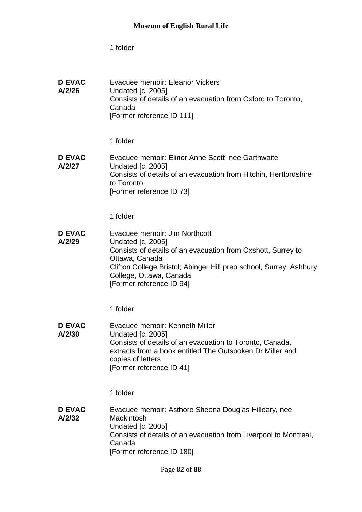| <b>D EVAC</b><br>A/2/26 | Evacuee memoir: Eleanor Vickers<br><b>Undated [c. 2005]</b><br>Consists of details of an evacuation from Oxford to Toronto,<br>Canada<br>[Former reference ID 111]                                                                                                       |
|-------------------------|--------------------------------------------------------------------------------------------------------------------------------------------------------------------------------------------------------------------------------------------------------------------------|
|                         | 1 folder                                                                                                                                                                                                                                                                 |
| <b>D EVAC</b><br>A/2/27 | Evacuee memoir: Elinor Anne Scott, nee Garthwaite<br><b>Undated [c. 2005]</b><br>Consists of details of an evacuation from Hitchin, Hertfordshire<br>to Toronto<br>[Former reference ID 73]                                                                              |
|                         | 1 folder                                                                                                                                                                                                                                                                 |
| <b>D EVAC</b><br>A/2/29 | Evacuee memoir: Jim Northcott<br><b>Undated [c. 2005]</b><br>Consists of details of an evacuation from Oxshott, Surrey to<br>Ottawa, Canada<br>Clifton College Bristol; Abinger Hill prep school, Surrey; Ashbury<br>College, Ottawa, Canada<br>[Former reference ID 94] |
|                         | 1 folder                                                                                                                                                                                                                                                                 |
| <b>D EVAC</b><br>A/2/30 | Evacuee memoir: Kenneth Miller<br><b>Undated [c. 2005]</b><br>Consists of details of an evacuation to Toronto, Canada,<br>extracts from a book entitled The Outspoken Dr Miller and<br>copies of letters<br>[Former reference ID 41]                                     |
|                         | 1 folder                                                                                                                                                                                                                                                                 |
| <b>D EVAC</b><br>A/2/32 | Evacuee memoir: Asthore Sheena Douglas Hilleary, nee<br>Mackintosh<br><b>Undated [c. 2005]</b><br>Consists of details of an evacuation from Liverpool to Montreal,<br>Canada<br>[Former reference ID 180]                                                                |
|                         |                                                                                                                                                                                                                                                                          |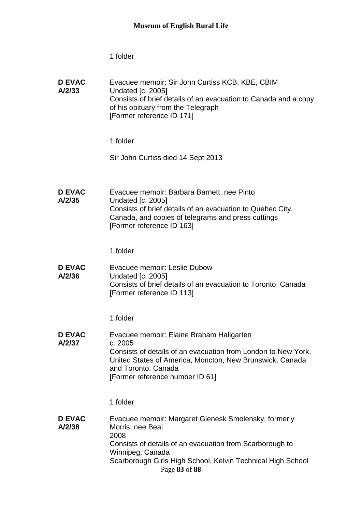| <b>D EVAC</b><br>A/2/33 | Evacuee memoir: Sir John Curtiss KCB, KBE, CBIM<br><b>Undated [c. 2005]</b><br>Consists of brief details of an evacuation to Canada and a copy<br>of his obituary from the Telegraph<br>[Former reference ID 171]                                |
|-------------------------|--------------------------------------------------------------------------------------------------------------------------------------------------------------------------------------------------------------------------------------------------|
|                         | 1 folder                                                                                                                                                                                                                                         |
|                         | Sir John Curtiss died 14 Sept 2013                                                                                                                                                                                                               |
| <b>D EVAC</b><br>A/2/35 | Evacuee memoir: Barbara Barnett, nee Pinto<br><b>Undated [c. 2005]</b><br>Consists of brief details of an evacuation to Quebec City,<br>Canada, and copies of telegrams and press cuttings<br>[Former reference ID 163]                          |
|                         | 1 folder                                                                                                                                                                                                                                         |
| <b>D EVAC</b><br>A/2/36 | Evacuee memoir: Leslie Dubow<br><b>Undated [c. 2005]</b><br>Consists of brief details of an evacuation to Toronto, Canada<br>[Former reference ID 113]                                                                                           |
|                         | 1 folder                                                                                                                                                                                                                                         |
| <b>D EVAC</b><br>A/2/37 | Evacuee memoir: Elaine Braham Hallgarten<br>c. 2005<br>Consists of details of an evacuation from London to New York,<br>United States of America, Moncton, New Brunswick, Canada<br>and Toronto, Canada<br>[Former reference number ID 61]       |
|                         | 1 folder                                                                                                                                                                                                                                         |
| <b>D EVAC</b><br>A/2/38 | Evacuee memoir: Margaret Glenesk Smolensky, formerly<br>Morris, nee Beal<br>2008<br>Consists of details of an evacuation from Scarborough to<br>Winnipeg, Canada<br>Scarborough Girls High School, Kelvin Technical High School<br>Page 83 of 88 |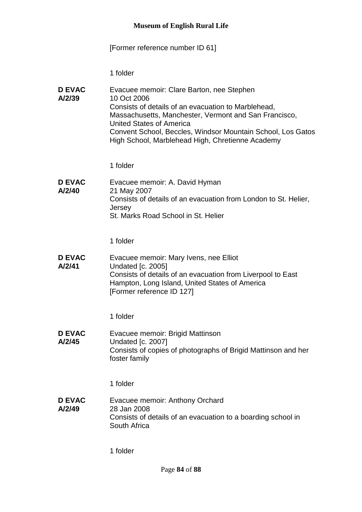## [Former reference number ID 61]

1 folder

| <b>D EVAC</b><br>A/2/39 | Evacuee memoir: Clare Barton, nee Stephen<br>10 Oct 2006<br>Consists of details of an evacuation to Marblehead,<br>Massachusetts, Manchester, Vermont and San Francisco,<br><b>United States of America</b><br>Convent School, Beccles, Windsor Mountain School, Los Gatos<br>High School, Marblehead High, Chretienne Academy |
|-------------------------|--------------------------------------------------------------------------------------------------------------------------------------------------------------------------------------------------------------------------------------------------------------------------------------------------------------------------------|
|                         |                                                                                                                                                                                                                                                                                                                                |

1 folder

**D EVAC A/2/40** Evacuee memoir: A. David Hyman 21 May 2007 Consists of details of an evacuation from London to St. Helier, **Jersey** St. Marks Road School in St. Helier

1 folder

**D EVAC A/2/41** Evacuee memoir: Mary Ivens, nee Elliot Undated [c. 2005] Consists of details of an evacuation from Liverpool to East Hampton, Long Island, United States of America [Former reference ID 127]

1 folder

**D EVAC A/2/45** Evacuee memoir: Brigid Mattinson Undated [c. 2007] Consists of copies of photographs of Brigid Mattinson and her foster family

1 folder

**D EVAC A/2/49** Evacuee memoir: Anthony Orchard 28 Jan 2008 Consists of details of an evacuation to a boarding school in South Africa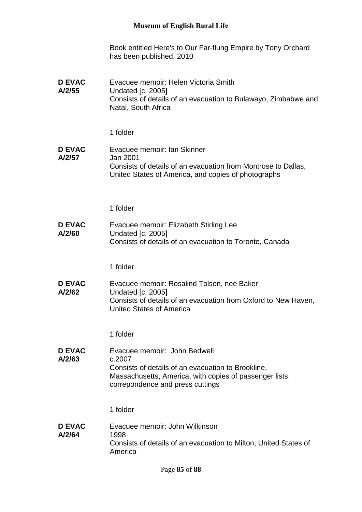Book entitled Here's to Our Far-flung Empire by Tony Orchard has been published, 2010

**D EVAC A/2/55** Evacuee memoir: Helen Victoria Smith Undated [c. 2005] Consists of details of an evacuation to Bulawayo, Zimbabwe and Natal, South Africa

1 folder

**D EVAC A/2/57** Evacuee memoir: Ian Skinner Jan 2001 Consists of details of an evacuation from Montrose to Dallas, United States of America, and copies of photographs

1 folder

**D EVAC A/2/60** Evacuee memoir: Elizabeth Stirling Lee Undated [c. 2005] Consists of details of an evacuation to Toronto, Canada

1 folder

**D EVAC A/2/62** Evacuee memoir: Rosalind Tolson, nee Baker Undated [c. 2005] Consists of details of an evacuation from Oxford to New Haven, United States of America

1 folder

**D EVAC A/2/63** Evacuee memoir: John Bedwell c.2007 Consists of details of an evacuation to Brookline, Massachusetts, America, with copies of passenger lists, correpondence and press cuttings

1 folder

**D EVAC A/2/64** Evacuee memoir: John Wilkinson 1998 Consists of details of an evacuation to Milton, United States of America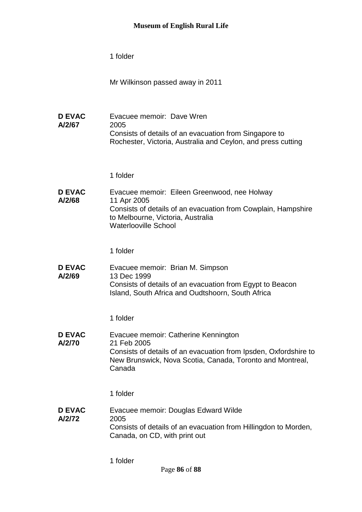Mr Wilkinson passed away in 2011

**D EVAC A/2/67** Evacuee memoir: Dave Wren 2005 Consists of details of an evacuation from Singapore to Rochester, Victoria, Australia and Ceylon, and press cutting

1 folder

**D EVAC A/2/68** Evacuee memoir: Eileen Greenwood, nee Holway 11 Apr 2005 Consists of details of an evacuation from Cowplain, Hampshire to Melbourne, Victoria, Australia Waterlooville School

1 folder

**D EVAC A/2/69** Evacuee memoir: Brian M. Simpson 13 Dec 1999 Consists of details of an evacuation from Egypt to Beacon Island, South Africa and Oudtshoorn, South Africa

1 folder

**D EVAC A/2/70** Evacuee memoir: Catherine Kennington 21 Feb 2005 Consists of details of an evacuation from Ipsden, Oxfordshire to New Brunswick, Nova Scotia, Canada, Toronto and Montreal, Canada

1 folder

**D EVAC A/2/72** Evacuee memoir: Douglas Edward Wilde 2005 Consists of details of an evacuation from Hillingdon to Morden, Canada, on CD, with print out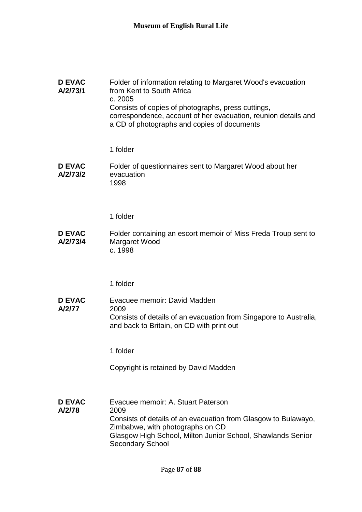| <b>D EVAC</b><br>A/2/73/1 | Folder of information relating to Margaret Wood's evacuation<br>from Kent to South Africa                     |
|---------------------------|---------------------------------------------------------------------------------------------------------------|
|                           | c. 2005<br>Consists of copies of photographs, press cuttings,                                                 |
|                           | correspondence, account of her evacuation, reunion details and<br>a CD of photographs and copies of documents |

#### **D EVAC A/2/73/2** Folder of questionnaires sent to Margaret Wood about her evacuation 1998

1 folder

**D EVAC A/2/73/4** Folder containing an escort memoir of Miss Freda Troup sent to Margaret Wood c. 1998

1 folder

**D EVAC A/2/77** Evacuee memoir: David Madden 2009 Consists of details of an evacuation from Singapore to Australia, and back to Britain, on CD with print out

1 folder

Copyright is retained by David Madden

**D EVAC A/2/78** Evacuee memoir: A. Stuart Paterson 2009 Consists of details of an evacuation from Glasgow to Bulawayo, Zimbabwe, with photographs on CD Glasgow High School, Milton Junior School, Shawlands Senior Secondary School